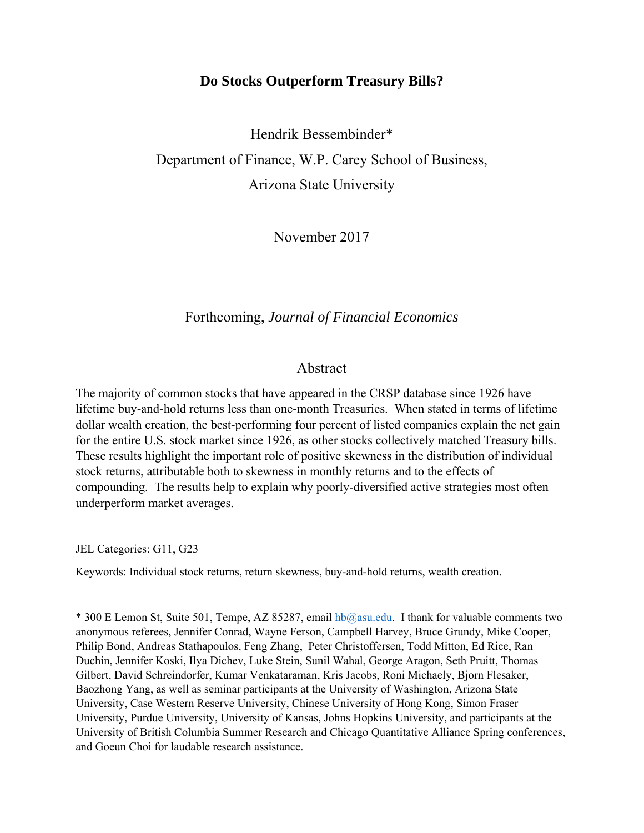# **Do Stocks Outperform Treasury Bills?**

Hendrik Bessembinder\* Department of Finance, W.P. Carey School of Business, Arizona State University

November 2017

### Forthcoming, *Journal of Financial Economics*

### Abstract

The majority of common stocks that have appeared in the CRSP database since 1926 have lifetime buy-and-hold returns less than one-month Treasuries. When stated in terms of lifetime dollar wealth creation, the best-performing four percent of listed companies explain the net gain for the entire U.S. stock market since 1926, as other stocks collectively matched Treasury bills. These results highlight the important role of positive skewness in the distribution of individual stock returns, attributable both to skewness in monthly returns and to the effects of compounding. The results help to explain why poorly-diversified active strategies most often underperform market averages.

JEL Categories: G11, G23

Keywords: Individual stock returns, return skewness, buy-and-hold returns, wealth creation.

 $*$  300 E Lemon St, Suite 501, Tempe, AZ 85287, email  $hba$  asu.edu. I thank for valuable comments two anonymous referees, Jennifer Conrad, Wayne Ferson, Campbell Harvey, Bruce Grundy, Mike Cooper, Philip Bond, Andreas Stathapoulos, Feng Zhang, Peter Christoffersen, Todd Mitton, Ed Rice, Ran Duchin, Jennifer Koski, Ilya Dichev, Luke Stein, Sunil Wahal, George Aragon, Seth Pruitt, Thomas Gilbert, David Schreindorfer, Kumar Venkataraman, Kris Jacobs, Roni Michaely, Bjorn Flesaker, Baozhong Yang, as well as seminar participants at the University of Washington, Arizona State University, Case Western Reserve University, Chinese University of Hong Kong, Simon Fraser University, Purdue University, University of Kansas, Johns Hopkins University, and participants at the University of British Columbia Summer Research and Chicago Quantitative Alliance Spring conferences, and Goeun Choi for laudable research assistance.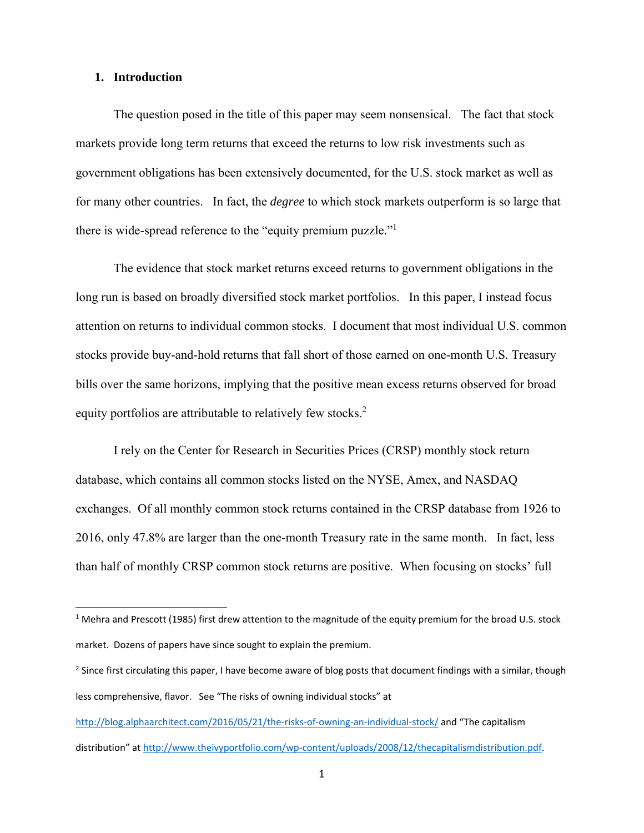### **1. Introduction**

The question posed in the title of this paper may seem nonsensical. The fact that stock markets provide long term returns that exceed the returns to low risk investments such as government obligations has been extensively documented, for the U.S. stock market as well as for many other countries. In fact, the *degree* to which stock markets outperform is so large that there is wide-spread reference to the "equity premium puzzle."<sup>1</sup>

 The evidence that stock market returns exceed returns to government obligations in the long run is based on broadly diversified stock market portfolios. In this paper, I instead focus attention on returns to individual common stocks. I document that most individual U.S. common stocks provide buy-and-hold returns that fall short of those earned on one-month U.S. Treasury bills over the same horizons, implying that the positive mean excess returns observed for broad equity portfolios are attributable to relatively few stocks.<sup>2</sup>

I rely on the Center for Research in Securities Prices (CRSP) monthly stock return database, which contains all common stocks listed on the NYSE, Amex, and NASDAQ exchanges. Of all monthly common stock returns contained in the CRSP database from 1926 to 2016, only 47.8% are larger than the one-month Treasury rate in the same month. In fact, less than half of monthly CRSP common stock returns are positive. When focusing on stocks' full

http://blog.alphaarchitect.com/2016/05/21/the-risks-of-owning-an-individual-stock/ and "The capitalism distribution" at http://www.theivyportfolio.com/wp‐content/uploads/2008/12/thecapitalismdistribution.pdf.

<sup>&</sup>lt;sup>1</sup> Mehra and Prescott (1985) first drew attention to the magnitude of the equity premium for the broad U.S. stock market. Dozens of papers have since sought to explain the premium.

<sup>&</sup>lt;sup>2</sup> Since first circulating this paper, I have become aware of blog posts that document findings with a similar, though less comprehensive, flavor. See "The risks of owning individual stocks" at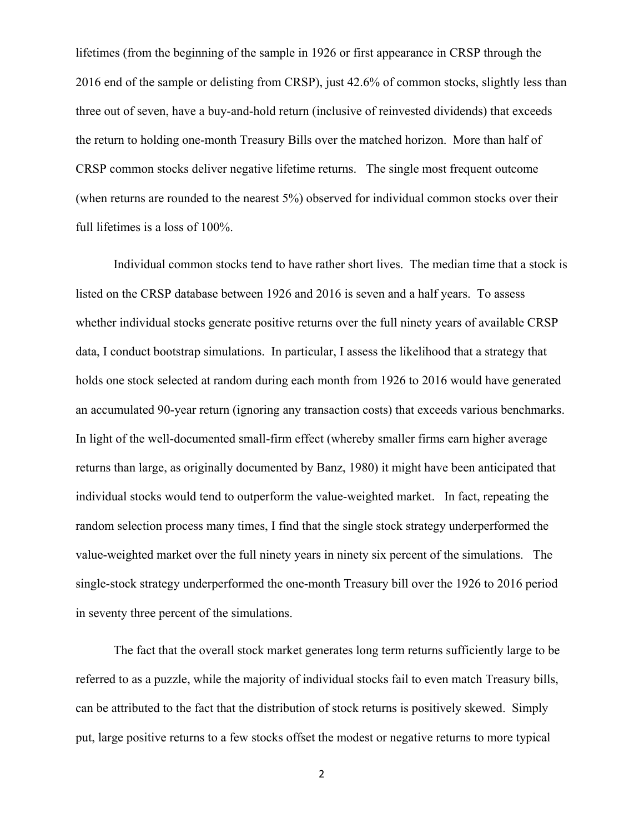lifetimes (from the beginning of the sample in 1926 or first appearance in CRSP through the 2016 end of the sample or delisting from CRSP), just 42.6% of common stocks, slightly less than three out of seven, have a buy-and-hold return (inclusive of reinvested dividends) that exceeds the return to holding one-month Treasury Bills over the matched horizon. More than half of CRSP common stocks deliver negative lifetime returns. The single most frequent outcome (when returns are rounded to the nearest 5%) observed for individual common stocks over their full lifetimes is a loss of 100%.

Individual common stocks tend to have rather short lives. The median time that a stock is listed on the CRSP database between 1926 and 2016 is seven and a half years. To assess whether individual stocks generate positive returns over the full ninety years of available CRSP data, I conduct bootstrap simulations. In particular, I assess the likelihood that a strategy that holds one stock selected at random during each month from 1926 to 2016 would have generated an accumulated 90-year return (ignoring any transaction costs) that exceeds various benchmarks. In light of the well-documented small-firm effect (whereby smaller firms earn higher average returns than large, as originally documented by Banz, 1980) it might have been anticipated that individual stocks would tend to outperform the value-weighted market. In fact, repeating the random selection process many times, I find that the single stock strategy underperformed the value-weighted market over the full ninety years in ninety six percent of the simulations. The single-stock strategy underperformed the one-month Treasury bill over the 1926 to 2016 period in seventy three percent of the simulations.

The fact that the overall stock market generates long term returns sufficiently large to be referred to as a puzzle, while the majority of individual stocks fail to even match Treasury bills, can be attributed to the fact that the distribution of stock returns is positively skewed. Simply put, large positive returns to a few stocks offset the modest or negative returns to more typical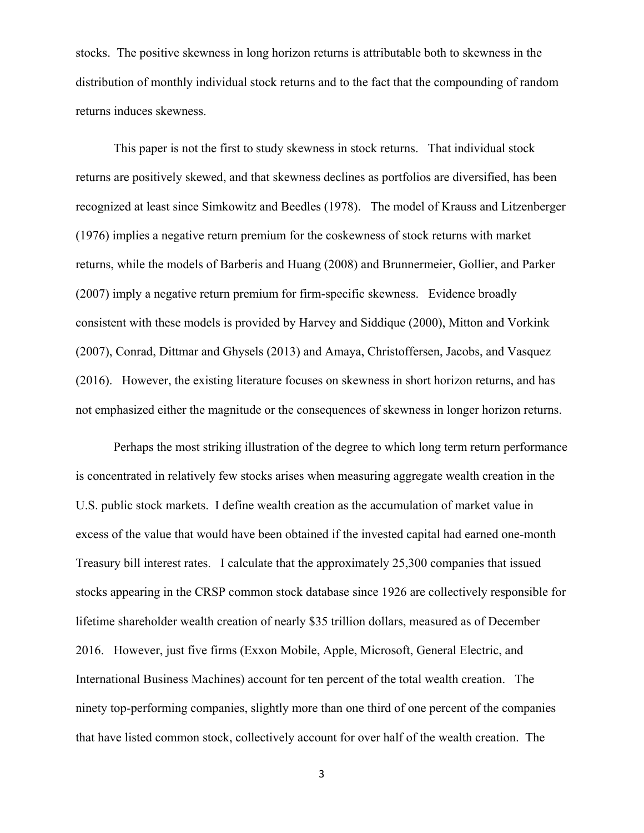stocks. The positive skewness in long horizon returns is attributable both to skewness in the distribution of monthly individual stock returns and to the fact that the compounding of random returns induces skewness.

This paper is not the first to study skewness in stock returns. That individual stock returns are positively skewed, and that skewness declines as portfolios are diversified, has been recognized at least since Simkowitz and Beedles (1978). The model of Krauss and Litzenberger (1976) implies a negative return premium for the coskewness of stock returns with market returns, while the models of Barberis and Huang (2008) and Brunnermeier, Gollier, and Parker (2007) imply a negative return premium for firm-specific skewness. Evidence broadly consistent with these models is provided by Harvey and Siddique (2000), Mitton and Vorkink (2007), Conrad, Dittmar and Ghysels (2013) and Amaya, Christoffersen, Jacobs, and Vasquez (2016). However, the existing literature focuses on skewness in short horizon returns, and has not emphasized either the magnitude or the consequences of skewness in longer horizon returns.

Perhaps the most striking illustration of the degree to which long term return performance is concentrated in relatively few stocks arises when measuring aggregate wealth creation in the U.S. public stock markets. I define wealth creation as the accumulation of market value in excess of the value that would have been obtained if the invested capital had earned one-month Treasury bill interest rates. I calculate that the approximately 25,300 companies that issued stocks appearing in the CRSP common stock database since 1926 are collectively responsible for lifetime shareholder wealth creation of nearly \$35 trillion dollars, measured as of December 2016. However, just five firms (Exxon Mobile, Apple, Microsoft, General Electric, and International Business Machines) account for ten percent of the total wealth creation. The ninety top-performing companies, slightly more than one third of one percent of the companies that have listed common stock, collectively account for over half of the wealth creation. The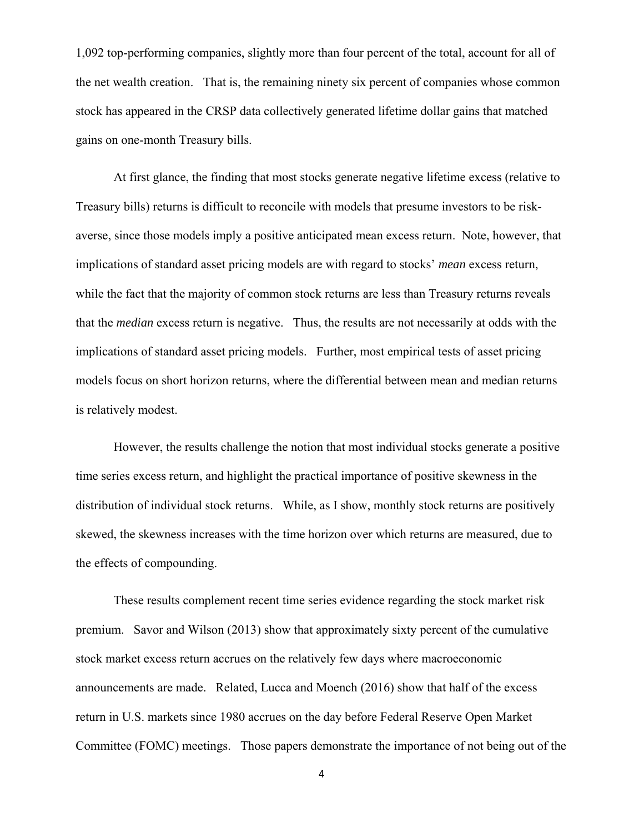1,092 top-performing companies, slightly more than four percent of the total, account for all of the net wealth creation. That is, the remaining ninety six percent of companies whose common stock has appeared in the CRSP data collectively generated lifetime dollar gains that matched gains on one-month Treasury bills.

At first glance, the finding that most stocks generate negative lifetime excess (relative to Treasury bills) returns is difficult to reconcile with models that presume investors to be riskaverse, since those models imply a positive anticipated mean excess return. Note, however, that implications of standard asset pricing models are with regard to stocks' *mean* excess return, while the fact that the majority of common stock returns are less than Treasury returns reveals that the *median* excess return is negative. Thus, the results are not necessarily at odds with the implications of standard asset pricing models. Further, most empirical tests of asset pricing models focus on short horizon returns, where the differential between mean and median returns is relatively modest.

However, the results challenge the notion that most individual stocks generate a positive time series excess return, and highlight the practical importance of positive skewness in the distribution of individual stock returns. While, as I show, monthly stock returns are positively skewed, the skewness increases with the time horizon over which returns are measured, due to the effects of compounding.

These results complement recent time series evidence regarding the stock market risk premium. Savor and Wilson (2013) show that approximately sixty percent of the cumulative stock market excess return accrues on the relatively few days where macroeconomic announcements are made. Related, Lucca and Moench (2016) show that half of the excess return in U.S. markets since 1980 accrues on the day before Federal Reserve Open Market Committee (FOMC) meetings. Those papers demonstrate the importance of not being out of the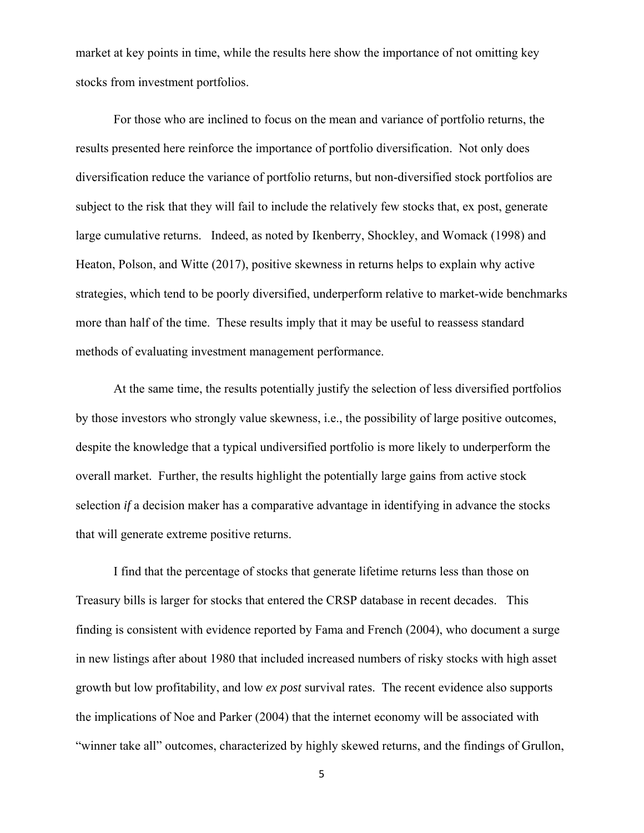market at key points in time, while the results here show the importance of not omitting key stocks from investment portfolios.

For those who are inclined to focus on the mean and variance of portfolio returns, the results presented here reinforce the importance of portfolio diversification. Not only does diversification reduce the variance of portfolio returns, but non-diversified stock portfolios are subject to the risk that they will fail to include the relatively few stocks that, ex post, generate large cumulative returns. Indeed, as noted by Ikenberry, Shockley, and Womack (1998) and Heaton, Polson, and Witte (2017), positive skewness in returns helps to explain why active strategies, which tend to be poorly diversified, underperform relative to market-wide benchmarks more than half of the time. These results imply that it may be useful to reassess standard methods of evaluating investment management performance.

At the same time, the results potentially justify the selection of less diversified portfolios by those investors who strongly value skewness, i.e., the possibility of large positive outcomes, despite the knowledge that a typical undiversified portfolio is more likely to underperform the overall market. Further, the results highlight the potentially large gains from active stock selection *if* a decision maker has a comparative advantage in identifying in advance the stocks that will generate extreme positive returns.

I find that the percentage of stocks that generate lifetime returns less than those on Treasury bills is larger for stocks that entered the CRSP database in recent decades. This finding is consistent with evidence reported by Fama and French (2004), who document a surge in new listings after about 1980 that included increased numbers of risky stocks with high asset growth but low profitability, and low *ex post* survival rates. The recent evidence also supports the implications of Noe and Parker (2004) that the internet economy will be associated with "winner take all" outcomes, characterized by highly skewed returns, and the findings of Grullon,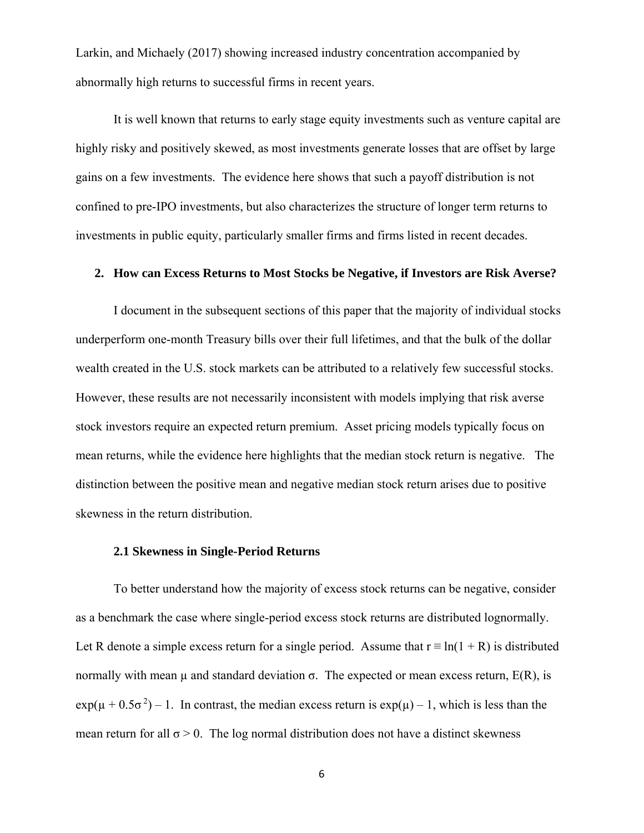Larkin, and Michaely (2017) showing increased industry concentration accompanied by abnormally high returns to successful firms in recent years.

It is well known that returns to early stage equity investments such as venture capital are highly risky and positively skewed, as most investments generate losses that are offset by large gains on a few investments. The evidence here shows that such a payoff distribution is not confined to pre-IPO investments, but also characterizes the structure of longer term returns to investments in public equity, particularly smaller firms and firms listed in recent decades.

### **2. How can Excess Returns to Most Stocks be Negative, if Investors are Risk Averse?**

I document in the subsequent sections of this paper that the majority of individual stocks underperform one-month Treasury bills over their full lifetimes, and that the bulk of the dollar wealth created in the U.S. stock markets can be attributed to a relatively few successful stocks. However, these results are not necessarily inconsistent with models implying that risk averse stock investors require an expected return premium. Asset pricing models typically focus on mean returns, while the evidence here highlights that the median stock return is negative. The distinction between the positive mean and negative median stock return arises due to positive skewness in the return distribution.

### **2.1 Skewness in Single-Period Returns**

 To better understand how the majority of excess stock returns can be negative, consider as a benchmark the case where single-period excess stock returns are distributed lognormally. Let R denote a simple excess return for a single period. Assume that  $r \equiv \ln(1 + R)$  is distributed normally with mean  $\mu$  and standard deviation σ. The expected or mean excess return, E(R), is  $\exp((\mu + 0.5\sigma^2) - 1)$ . In contrast, the median excess return is  $\exp((\mu) - 1)$ , which is less than the mean return for all  $\sigma > 0$ . The log normal distribution does not have a distinct skewness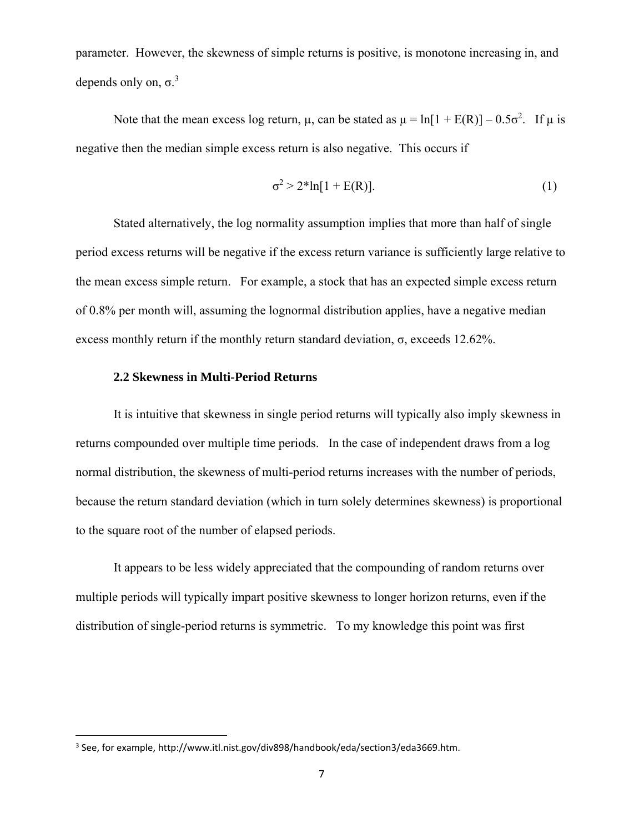parameter. However, the skewness of simple returns is positive, is monotone increasing in, and depends only on,  $\sigma$ <sup>3</sup>

Note that the mean excess log return,  $\mu$ , can be stated as  $\mu = \ln[1 + E(R)] - 0.5\sigma^2$ . If  $\mu$  is negative then the median simple excess return is also negative. This occurs if

$$
\sigma^2 > 2^* \ln[1 + E(R)].
$$
 (1)

Stated alternatively, the log normality assumption implies that more than half of single period excess returns will be negative if the excess return variance is sufficiently large relative to the mean excess simple return. For example, a stock that has an expected simple excess return of 0.8% per month will, assuming the lognormal distribution applies, have a negative median excess monthly return if the monthly return standard deviation,  $\sigma$ , exceeds 12.62%.

### **2.2 Skewness in Multi-Period Returns**

It is intuitive that skewness in single period returns will typically also imply skewness in returns compounded over multiple time periods. In the case of independent draws from a log normal distribution, the skewness of multi-period returns increases with the number of periods, because the return standard deviation (which in turn solely determines skewness) is proportional to the square root of the number of elapsed periods.

It appears to be less widely appreciated that the compounding of random returns over multiple periods will typically impart positive skewness to longer horizon returns, even if the distribution of single-period returns is symmetric. To my knowledge this point was first

<sup>3</sup> See, for example, http://www.itl.nist.gov/div898/handbook/eda/section3/eda3669.htm.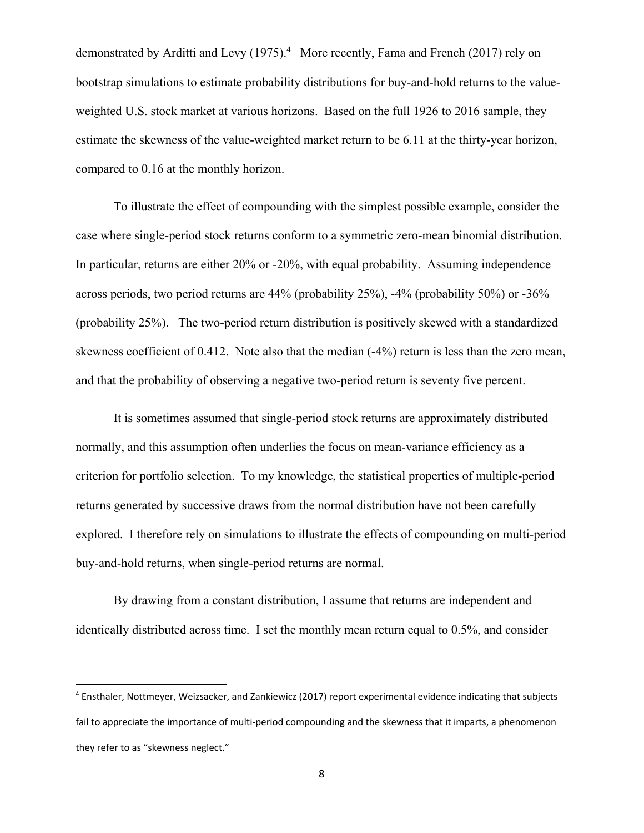demonstrated by Arditti and Levy (1975).<sup>4</sup> More recently, Fama and French (2017) rely on bootstrap simulations to estimate probability distributions for buy-and-hold returns to the valueweighted U.S. stock market at various horizons. Based on the full 1926 to 2016 sample, they estimate the skewness of the value-weighted market return to be 6.11 at the thirty-year horizon, compared to 0.16 at the monthly horizon.

To illustrate the effect of compounding with the simplest possible example, consider the case where single-period stock returns conform to a symmetric zero-mean binomial distribution. In particular, returns are either 20% or -20%, with equal probability. Assuming independence across periods, two period returns are 44% (probability 25%), -4% (probability 50%) or -36% (probability 25%). The two-period return distribution is positively skewed with a standardized skewness coefficient of 0.412. Note also that the median (-4%) return is less than the zero mean, and that the probability of observing a negative two-period return is seventy five percent.

It is sometimes assumed that single-period stock returns are approximately distributed normally, and this assumption often underlies the focus on mean-variance efficiency as a criterion for portfolio selection. To my knowledge, the statistical properties of multiple-period returns generated by successive draws from the normal distribution have not been carefully explored. I therefore rely on simulations to illustrate the effects of compounding on multi-period buy-and-hold returns, when single-period returns are normal.

By drawing from a constant distribution, I assume that returns are independent and identically distributed across time. I set the monthly mean return equal to 0.5%, and consider

<sup>4</sup> Ensthaler, Nottmeyer, Weizsacker, and Zankiewicz (2017) report experimental evidence indicating that subjects fail to appreciate the importance of multi-period compounding and the skewness that it imparts, a phenomenon they refer to as "skewness neglect."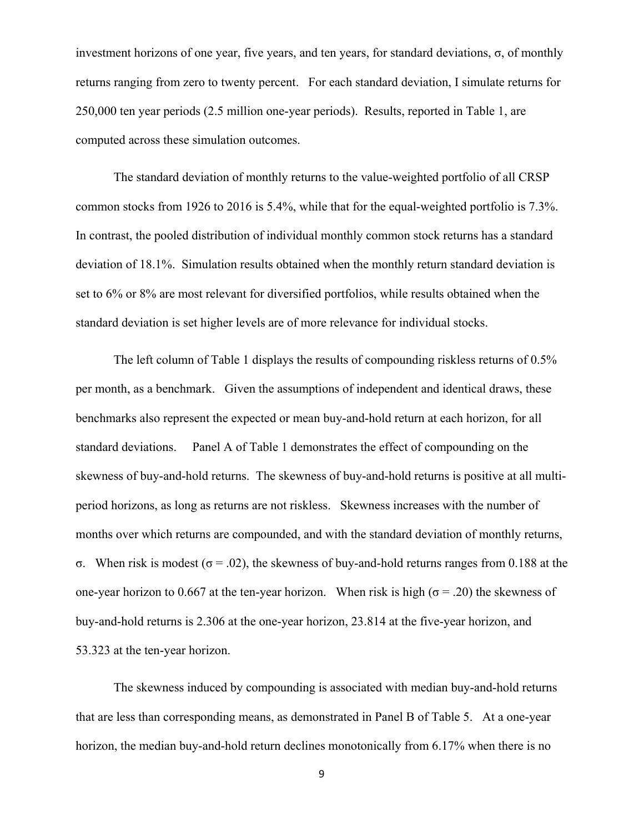investment horizons of one year, five years, and ten years, for standard deviations, σ, of monthly returns ranging from zero to twenty percent. For each standard deviation, I simulate returns for 250,000 ten year periods (2.5 million one-year periods). Results, reported in Table 1, are computed across these simulation outcomes.

The standard deviation of monthly returns to the value-weighted portfolio of all CRSP common stocks from 1926 to 2016 is 5.4%, while that for the equal-weighted portfolio is 7.3%. In contrast, the pooled distribution of individual monthly common stock returns has a standard deviation of 18.1%. Simulation results obtained when the monthly return standard deviation is set to 6% or 8% are most relevant for diversified portfolios, while results obtained when the standard deviation is set higher levels are of more relevance for individual stocks.

The left column of Table 1 displays the results of compounding riskless returns of 0.5% per month, as a benchmark. Given the assumptions of independent and identical draws, these benchmarks also represent the expected or mean buy-and-hold return at each horizon, for all standard deviations. Panel A of Table 1 demonstrates the effect of compounding on the skewness of buy-and-hold returns. The skewness of buy-and-hold returns is positive at all multiperiod horizons, as long as returns are not riskless. Skewness increases with the number of months over which returns are compounded, and with the standard deviation of monthly returns, σ. When risk is modest (σ = .02), the skewness of buy-and-hold returns ranges from 0.188 at the one-year horizon to 0.667 at the ten-year horizon. When risk is high ( $\sigma$  = .20) the skewness of buy-and-hold returns is 2.306 at the one-year horizon, 23.814 at the five-year horizon, and 53.323 at the ten-year horizon.

The skewness induced by compounding is associated with median buy-and-hold returns that are less than corresponding means, as demonstrated in Panel B of Table 5. At a one-year horizon, the median buy-and-hold return declines monotonically from 6.17% when there is no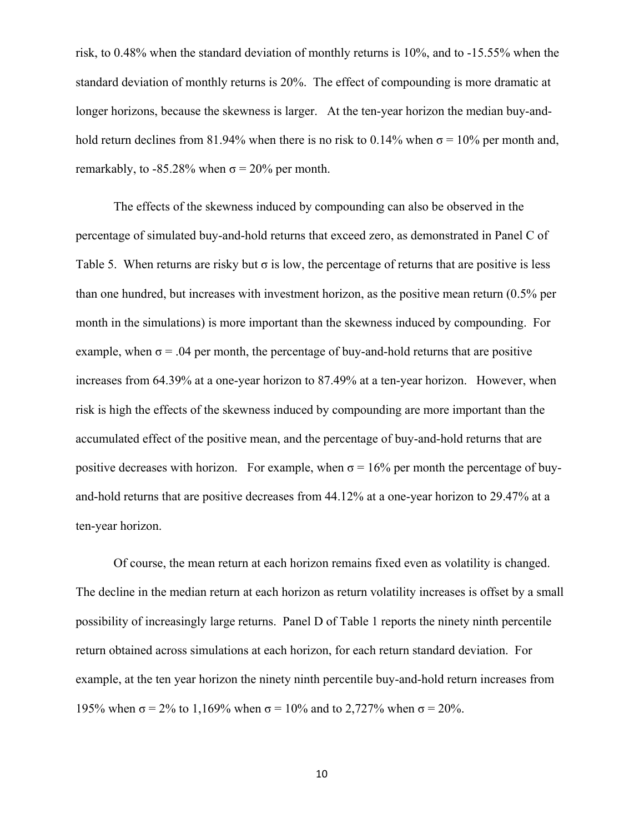risk, to 0.48% when the standard deviation of monthly returns is 10%, and to -15.55% when the standard deviation of monthly returns is 20%. The effect of compounding is more dramatic at longer horizons, because the skewness is larger. At the ten-year horizon the median buy-andhold return declines from 81.94% when there is no risk to 0.14% when  $\sigma$  = 10% per month and, remarkably, to -85.28% when  $\sigma$  = 20% per month.

The effects of the skewness induced by compounding can also be observed in the percentage of simulated buy-and-hold returns that exceed zero, as demonstrated in Panel C of Table 5. When returns are risky but  $\sigma$  is low, the percentage of returns that are positive is less than one hundred, but increases with investment horizon, as the positive mean return (0.5% per month in the simulations) is more important than the skewness induced by compounding. For example, when  $\sigma$  = .04 per month, the percentage of buy-and-hold returns that are positive increases from 64.39% at a one-year horizon to 87.49% at a ten-year horizon. However, when risk is high the effects of the skewness induced by compounding are more important than the accumulated effect of the positive mean, and the percentage of buy-and-hold returns that are positive decreases with horizon. For example, when  $\sigma = 16\%$  per month the percentage of buyand-hold returns that are positive decreases from 44.12% at a one-year horizon to 29.47% at a ten-year horizon.

Of course, the mean return at each horizon remains fixed even as volatility is changed. The decline in the median return at each horizon as return volatility increases is offset by a small possibility of increasingly large returns. Panel D of Table 1 reports the ninety ninth percentile return obtained across simulations at each horizon, for each return standard deviation. For example, at the ten year horizon the ninety ninth percentile buy-and-hold return increases from 195% when  $\sigma$  = 2% to 1,169% when  $\sigma$  = 10% and to 2,727% when  $\sigma$  = 20%.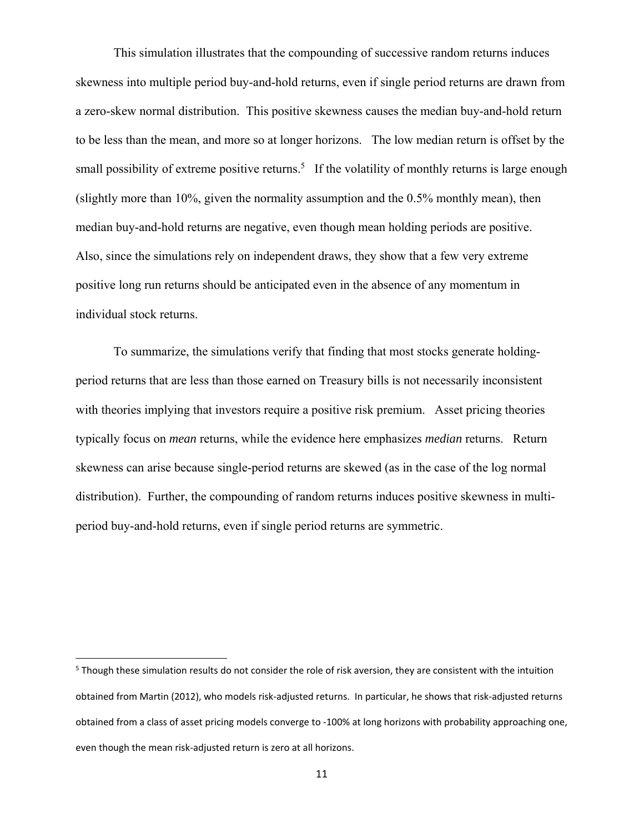This simulation illustrates that the compounding of successive random returns induces skewness into multiple period buy-and-hold returns, even if single period returns are drawn from a zero-skew normal distribution. This positive skewness causes the median buy-and-hold return to be less than the mean, and more so at longer horizons. The low median return is offset by the small possibility of extreme positive returns.<sup>5</sup> If the volatility of monthly returns is large enough (slightly more than 10%, given the normality assumption and the 0.5% monthly mean), then median buy-and-hold returns are negative, even though mean holding periods are positive. Also, since the simulations rely on independent draws, they show that a few very extreme positive long run returns should be anticipated even in the absence of any momentum in individual stock returns.

To summarize, the simulations verify that finding that most stocks generate holdingperiod returns that are less than those earned on Treasury bills is not necessarily inconsistent with theories implying that investors require a positive risk premium. Asset pricing theories typically focus on *mean* returns, while the evidence here emphasizes *median* returns. Return skewness can arise because single-period returns are skewed (as in the case of the log normal distribution). Further, the compounding of random returns induces positive skewness in multiperiod buy-and-hold returns, even if single period returns are symmetric.

<sup>&</sup>lt;sup>5</sup> Though these simulation results do not consider the role of risk aversion, they are consistent with the intuition obtained from Martin (2012), who models risk‐adjusted returns. In particular, he shows that risk‐adjusted returns obtained from a class of asset pricing models converge to ‐100% at long horizons with probability approaching one, even though the mean risk-adjusted return is zero at all horizons.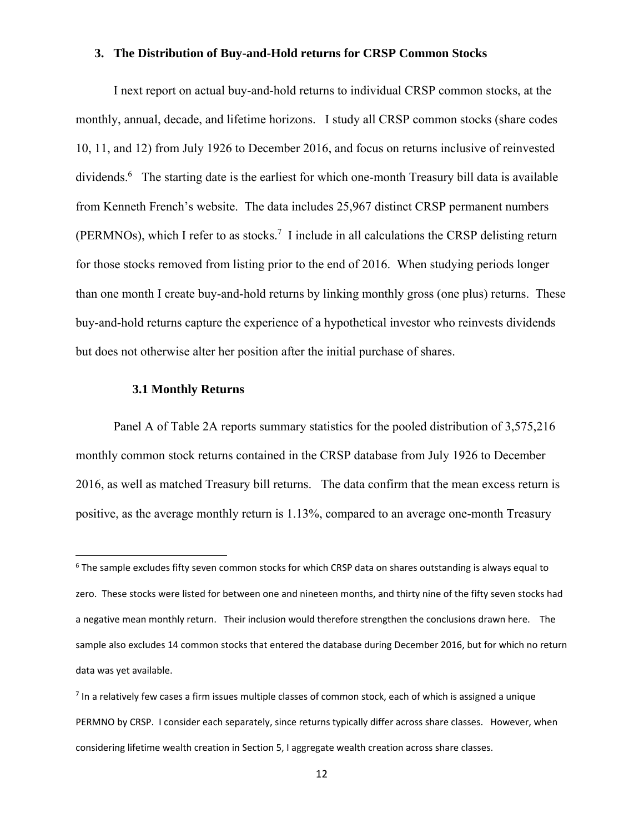### **3. The Distribution of Buy-and-Hold returns for CRSP Common Stocks**

I next report on actual buy-and-hold returns to individual CRSP common stocks, at the monthly, annual, decade, and lifetime horizons. I study all CRSP common stocks (share codes 10, 11, and 12) from July 1926 to December 2016, and focus on returns inclusive of reinvested dividends.<sup>6</sup> The starting date is the earliest for which one-month Treasury bill data is available from Kenneth French's website. The data includes 25,967 distinct CRSP permanent numbers (PERMNOs), which I refer to as stocks.<sup>7</sup> I include in all calculations the CRSP delisting return for those stocks removed from listing prior to the end of 2016. When studying periods longer than one month I create buy-and-hold returns by linking monthly gross (one plus) returns. These buy-and-hold returns capture the experience of a hypothetical investor who reinvests dividends but does not otherwise alter her position after the initial purchase of shares.

### **3.1 Monthly Returns**

Panel A of Table 2A reports summary statistics for the pooled distribution of 3,575,216 monthly common stock returns contained in the CRSP database from July 1926 to December 2016, as well as matched Treasury bill returns. The data confirm that the mean excess return is positive, as the average monthly return is 1.13%, compared to an average one-month Treasury

<sup>&</sup>lt;sup>6</sup> The sample excludes fifty seven common stocks for which CRSP data on shares outstanding is always equal to zero. These stocks were listed for between one and nineteen months, and thirty nine of the fifty seven stocks had a negative mean monthly return. Their inclusion would therefore strengthen the conclusions drawn here. The sample also excludes 14 common stocks that entered the database during December 2016, but for which no return data was yet available.

<sup>7</sup> In a relatively few cases a firm issues multiple classes of common stock, each of which is assigned a unique PERMNO by CRSP. I consider each separately, since returns typically differ across share classes. However, when considering lifetime wealth creation in Section 5, I aggregate wealth creation across share classes.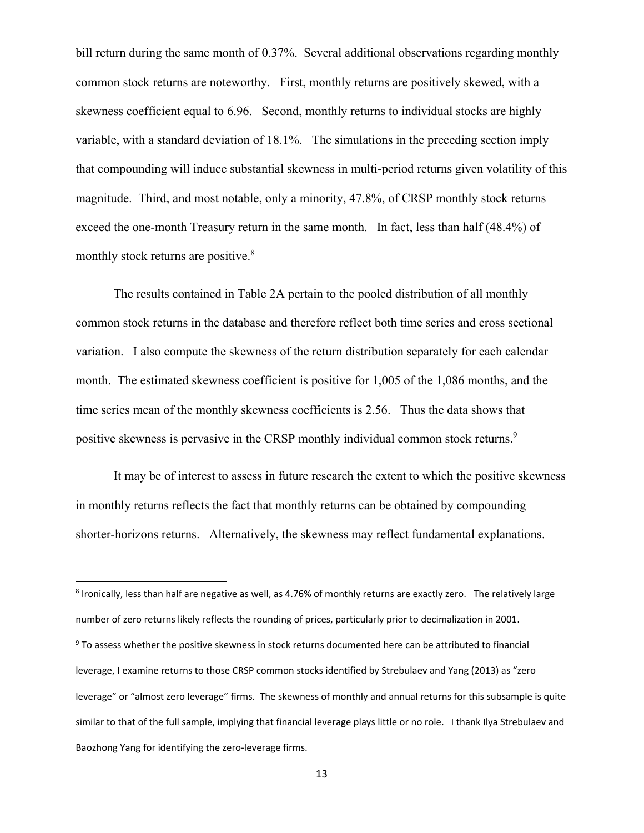bill return during the same month of 0.37%. Several additional observations regarding monthly common stock returns are noteworthy. First, monthly returns are positively skewed, with a skewness coefficient equal to 6.96. Second, monthly returns to individual stocks are highly variable, with a standard deviation of 18.1%. The simulations in the preceding section imply that compounding will induce substantial skewness in multi-period returns given volatility of this magnitude. Third, and most notable, only a minority, 47.8%, of CRSP monthly stock returns exceed the one-month Treasury return in the same month. In fact, less than half (48.4%) of monthly stock returns are positive.<sup>8</sup>

The results contained in Table 2A pertain to the pooled distribution of all monthly common stock returns in the database and therefore reflect both time series and cross sectional variation. I also compute the skewness of the return distribution separately for each calendar month. The estimated skewness coefficient is positive for 1,005 of the 1,086 months, and the time series mean of the monthly skewness coefficients is 2.56. Thus the data shows that positive skewness is pervasive in the CRSP monthly individual common stock returns.<sup>9</sup>

It may be of interest to assess in future research the extent to which the positive skewness in monthly returns reflects the fact that monthly returns can be obtained by compounding shorter-horizons returns. Alternatively, the skewness may reflect fundamental explanations.

<sup>8</sup> Ironically, less than half are negative as well, as 4.76% of monthly returns are exactly zero. The relatively large number of zero returns likely reflects the rounding of prices, particularly prior to decimalization in 2001. <sup>9</sup> To assess whether the positive skewness in stock returns documented here can be attributed to financial leverage, I examine returns to those CRSP common stocks identified by Strebulaev and Yang (2013) as "zero leverage" or "almost zero leverage" firms. The skewness of monthly and annual returns for this subsample is quite similar to that of the full sample, implying that financial leverage plays little or no role. I thank Ilya Strebulaev and Baozhong Yang for identifying the zero‐leverage firms.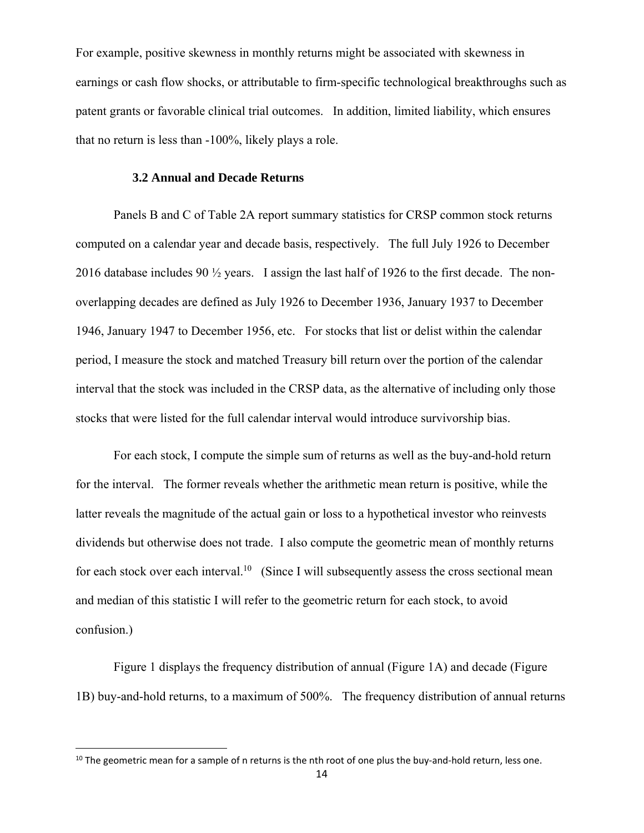For example, positive skewness in monthly returns might be associated with skewness in earnings or cash flow shocks, or attributable to firm-specific technological breakthroughs such as patent grants or favorable clinical trial outcomes. In addition, limited liability, which ensures that no return is less than -100%, likely plays a role.

#### **3.2 Annual and Decade Returns**

Panels B and C of Table 2A report summary statistics for CRSP common stock returns computed on a calendar year and decade basis, respectively. The full July 1926 to December 2016 database includes 90 ½ years. I assign the last half of 1926 to the first decade. The nonoverlapping decades are defined as July 1926 to December 1936, January 1937 to December 1946, January 1947 to December 1956, etc. For stocks that list or delist within the calendar period, I measure the stock and matched Treasury bill return over the portion of the calendar interval that the stock was included in the CRSP data, as the alternative of including only those stocks that were listed for the full calendar interval would introduce survivorship bias.

For each stock, I compute the simple sum of returns as well as the buy-and-hold return for the interval. The former reveals whether the arithmetic mean return is positive, while the latter reveals the magnitude of the actual gain or loss to a hypothetical investor who reinvests dividends but otherwise does not trade. I also compute the geometric mean of monthly returns for each stock over each interval.<sup>10</sup> (Since I will subsequently assess the cross sectional mean and median of this statistic I will refer to the geometric return for each stock, to avoid confusion.)

Figure 1 displays the frequency distribution of annual (Figure 1A) and decade (Figure 1B) buy-and-hold returns, to a maximum of 500%. The frequency distribution of annual returns

 $10$  The geometric mean for a sample of n returns is the nth root of one plus the buy-and-hold return, less one.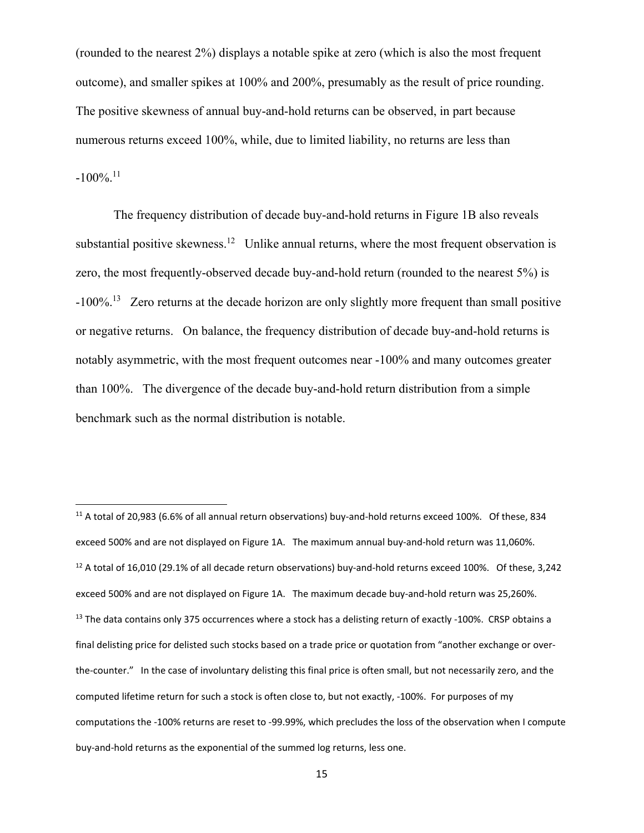(rounded to the nearest 2%) displays a notable spike at zero (which is also the most frequent outcome), and smaller spikes at 100% and 200%, presumably as the result of price rounding. The positive skewness of annual buy-and-hold returns can be observed, in part because numerous returns exceed 100%, while, due to limited liability, no returns are less than  $-100\%$ <sup>11</sup>

The frequency distribution of decade buy-and-hold returns in Figure 1B also reveals substantial positive skewness.<sup>12</sup> Unlike annual returns, where the most frequent observation is zero, the most frequently-observed decade buy-and-hold return (rounded to the nearest 5%) is -100%.13 Zero returns at the decade horizon are only slightly more frequent than small positive or negative returns. On balance, the frequency distribution of decade buy-and-hold returns is notably asymmetric, with the most frequent outcomes near -100% and many outcomes greater than 100%. The divergence of the decade buy-and-hold return distribution from a simple benchmark such as the normal distribution is notable.

<sup>11</sup> A total of 20,983 (6.6% of all annual return observations) buy‐and‐hold returns exceed 100%. Of these, 834 exceed 500% and are not displayed on Figure 1A. The maximum annual buy-and-hold return was 11,060%. <sup>12</sup> A total of 16,010 (29.1% of all decade return observations) buy-and-hold returns exceed 100%. Of these, 3,242 exceed 500% and are not displayed on Figure 1A. The maximum decade buy‐and‐hold return was 25,260%. <sup>13</sup> The data contains only 375 occurrences where a stock has a delisting return of exactly -100%. CRSP obtains a final delisting price for delisted such stocks based on a trade price or quotation from "another exchange or over‐ the-counter." In the case of involuntary delisting this final price is often small, but not necessarily zero, and the computed lifetime return for such a stock is often close to, but not exactly, -100%. For purposes of my computations the ‐100% returns are reset to ‐99.99%, which precludes the loss of the observation when I compute buy‐and‐hold returns as the exponential of the summed log returns, less one.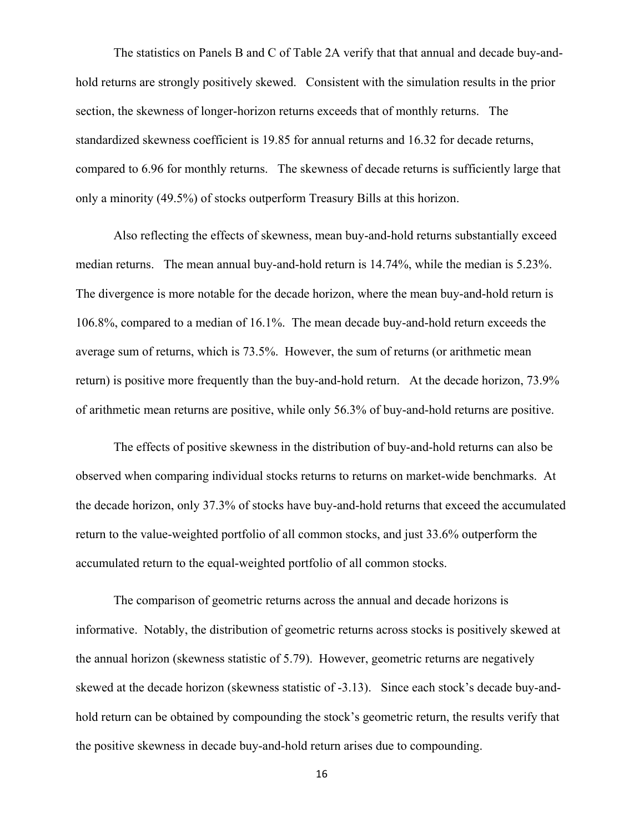The statistics on Panels B and C of Table 2A verify that that annual and decade buy-andhold returns are strongly positively skewed. Consistent with the simulation results in the prior section, the skewness of longer-horizon returns exceeds that of monthly returns. The standardized skewness coefficient is 19.85 for annual returns and 16.32 for decade returns, compared to 6.96 for monthly returns. The skewness of decade returns is sufficiently large that only a minority (49.5%) of stocks outperform Treasury Bills at this horizon.

Also reflecting the effects of skewness, mean buy-and-hold returns substantially exceed median returns. The mean annual buy-and-hold return is 14.74%, while the median is 5.23%. The divergence is more notable for the decade horizon, where the mean buy-and-hold return is 106.8%, compared to a median of 16.1%. The mean decade buy-and-hold return exceeds the average sum of returns, which is 73.5%. However, the sum of returns (or arithmetic mean return) is positive more frequently than the buy-and-hold return. At the decade horizon, 73.9% of arithmetic mean returns are positive, while only 56.3% of buy-and-hold returns are positive.

The effects of positive skewness in the distribution of buy-and-hold returns can also be observed when comparing individual stocks returns to returns on market-wide benchmarks. At the decade horizon, only 37.3% of stocks have buy-and-hold returns that exceed the accumulated return to the value-weighted portfolio of all common stocks, and just 33.6% outperform the accumulated return to the equal-weighted portfolio of all common stocks.

The comparison of geometric returns across the annual and decade horizons is informative. Notably, the distribution of geometric returns across stocks is positively skewed at the annual horizon (skewness statistic of 5.79). However, geometric returns are negatively skewed at the decade horizon (skewness statistic of -3.13). Since each stock's decade buy-andhold return can be obtained by compounding the stock's geometric return, the results verify that the positive skewness in decade buy-and-hold return arises due to compounding.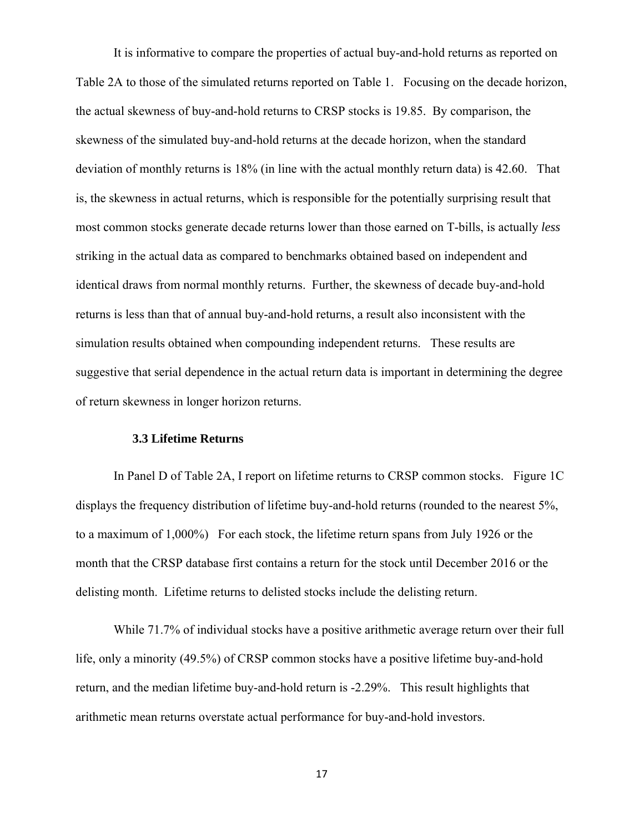It is informative to compare the properties of actual buy-and-hold returns as reported on Table 2A to those of the simulated returns reported on Table 1. Focusing on the decade horizon, the actual skewness of buy-and-hold returns to CRSP stocks is 19.85. By comparison, the skewness of the simulated buy-and-hold returns at the decade horizon, when the standard deviation of monthly returns is 18% (in line with the actual monthly return data) is 42.60. That is, the skewness in actual returns, which is responsible for the potentially surprising result that most common stocks generate decade returns lower than those earned on T-bills, is actually *less* striking in the actual data as compared to benchmarks obtained based on independent and identical draws from normal monthly returns. Further, the skewness of decade buy-and-hold returns is less than that of annual buy-and-hold returns, a result also inconsistent with the simulation results obtained when compounding independent returns. These results are suggestive that serial dependence in the actual return data is important in determining the degree of return skewness in longer horizon returns.

#### **3.3 Lifetime Returns**

In Panel D of Table 2A, I report on lifetime returns to CRSP common stocks. Figure 1C displays the frequency distribution of lifetime buy-and-hold returns (rounded to the nearest 5%, to a maximum of 1,000%) For each stock, the lifetime return spans from July 1926 or the month that the CRSP database first contains a return for the stock until December 2016 or the delisting month. Lifetime returns to delisted stocks include the delisting return.

While 71.7% of individual stocks have a positive arithmetic average return over their full life, only a minority (49.5%) of CRSP common stocks have a positive lifetime buy-and-hold return, and the median lifetime buy-and-hold return is -2.29%. This result highlights that arithmetic mean returns overstate actual performance for buy-and-hold investors.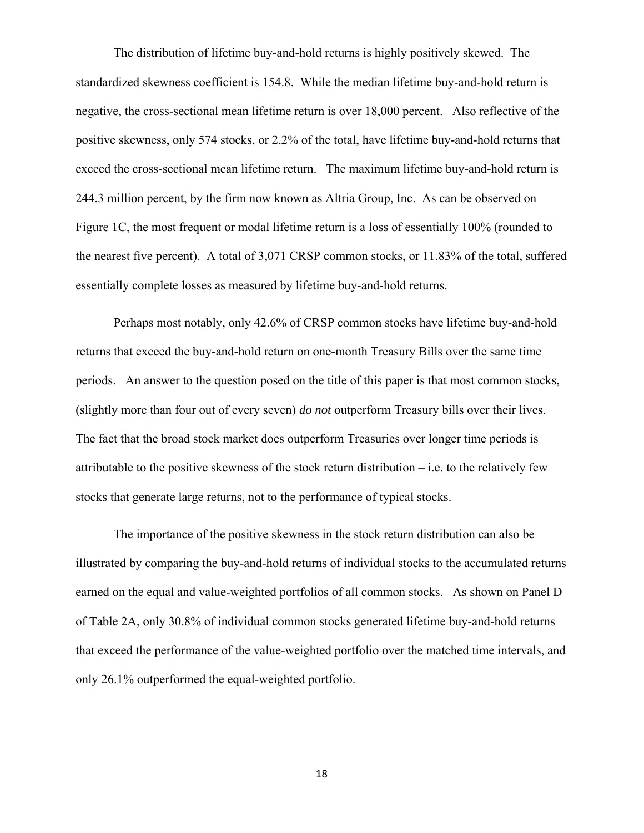The distribution of lifetime buy-and-hold returns is highly positively skewed. The standardized skewness coefficient is 154.8. While the median lifetime buy-and-hold return is negative, the cross-sectional mean lifetime return is over 18,000 percent. Also reflective of the positive skewness, only 574 stocks, or 2.2% of the total, have lifetime buy-and-hold returns that exceed the cross-sectional mean lifetime return. The maximum lifetime buy-and-hold return is 244.3 million percent, by the firm now known as Altria Group, Inc. As can be observed on Figure 1C, the most frequent or modal lifetime return is a loss of essentially 100% (rounded to the nearest five percent). A total of 3,071 CRSP common stocks, or 11.83% of the total, suffered essentially complete losses as measured by lifetime buy-and-hold returns.

Perhaps most notably, only 42.6% of CRSP common stocks have lifetime buy-and-hold returns that exceed the buy-and-hold return on one-month Treasury Bills over the same time periods. An answer to the question posed on the title of this paper is that most common stocks, (slightly more than four out of every seven) *do not* outperform Treasury bills over their lives. The fact that the broad stock market does outperform Treasuries over longer time periods is attributable to the positive skewness of the stock return distribution – i.e. to the relatively few stocks that generate large returns, not to the performance of typical stocks.

The importance of the positive skewness in the stock return distribution can also be illustrated by comparing the buy-and-hold returns of individual stocks to the accumulated returns earned on the equal and value-weighted portfolios of all common stocks. As shown on Panel D of Table 2A, only 30.8% of individual common stocks generated lifetime buy-and-hold returns that exceed the performance of the value-weighted portfolio over the matched time intervals, and only 26.1% outperformed the equal-weighted portfolio.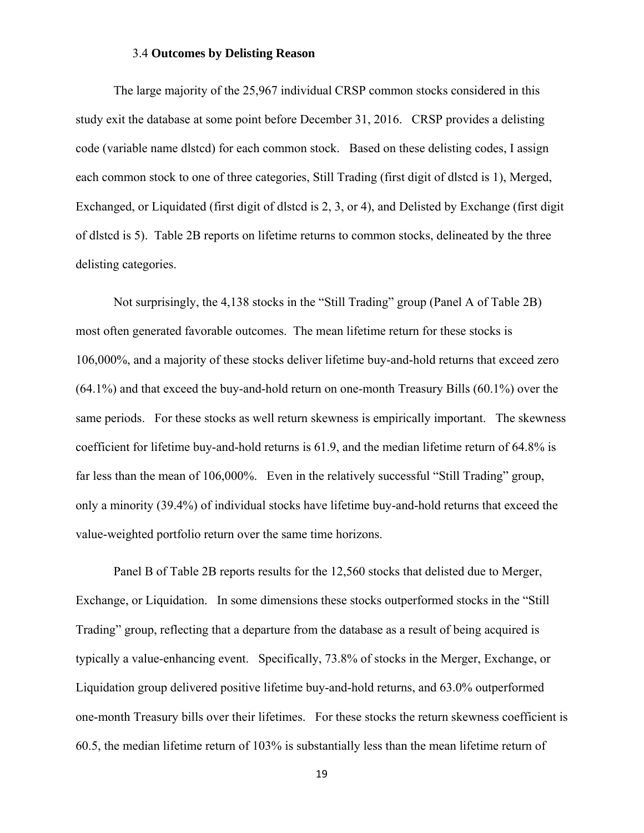### 3.4 **Outcomes by Delisting Reason**

The large majority of the 25,967 individual CRSP common stocks considered in this study exit the database at some point before December 31, 2016. CRSP provides a delisting code (variable name dlstcd) for each common stock. Based on these delisting codes, I assign each common stock to one of three categories, Still Trading (first digit of dlstcd is 1), Merged, Exchanged, or Liquidated (first digit of dlstcd is 2, 3, or 4), and Delisted by Exchange (first digit of dlstcd is 5). Table 2B reports on lifetime returns to common stocks, delineated by the three delisting categories.

Not surprisingly, the 4,138 stocks in the "Still Trading" group (Panel A of Table 2B) most often generated favorable outcomes. The mean lifetime return for these stocks is 106,000%, and a majority of these stocks deliver lifetime buy-and-hold returns that exceed zero (64.1%) and that exceed the buy-and-hold return on one-month Treasury Bills (60.1%) over the same periods. For these stocks as well return skewness is empirically important. The skewness coefficient for lifetime buy-and-hold returns is 61.9, and the median lifetime return of 64.8% is far less than the mean of 106,000%. Even in the relatively successful "Still Trading" group, only a minority (39.4%) of individual stocks have lifetime buy-and-hold returns that exceed the value-weighted portfolio return over the same time horizons.

Panel B of Table 2B reports results for the 12,560 stocks that delisted due to Merger, Exchange, or Liquidation. In some dimensions these stocks outperformed stocks in the "Still Trading" group, reflecting that a departure from the database as a result of being acquired is typically a value-enhancing event. Specifically, 73.8% of stocks in the Merger, Exchange, or Liquidation group delivered positive lifetime buy-and-hold returns, and 63.0% outperformed one-month Treasury bills over their lifetimes. For these stocks the return skewness coefficient is 60.5, the median lifetime return of 103% is substantially less than the mean lifetime return of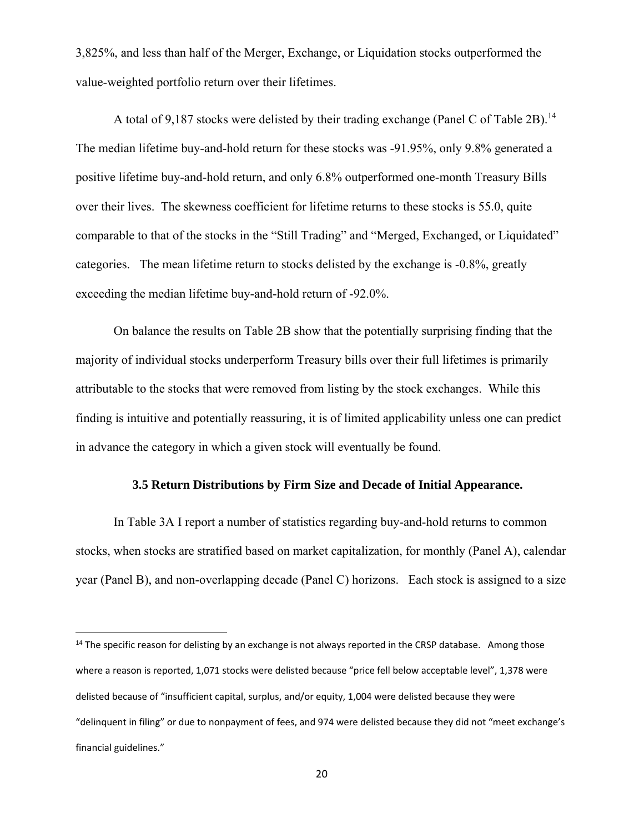3,825%, and less than half of the Merger, Exchange, or Liquidation stocks outperformed the value-weighted portfolio return over their lifetimes.

A total of 9,187 stocks were delisted by their trading exchange (Panel C of Table 2B).<sup>14</sup> The median lifetime buy-and-hold return for these stocks was -91.95%, only 9.8% generated a positive lifetime buy-and-hold return, and only 6.8% outperformed one-month Treasury Bills over their lives. The skewness coefficient for lifetime returns to these stocks is 55.0, quite comparable to that of the stocks in the "Still Trading" and "Merged, Exchanged, or Liquidated" categories. The mean lifetime return to stocks delisted by the exchange is -0.8%, greatly exceeding the median lifetime buy-and-hold return of -92.0%.

On balance the results on Table 2B show that the potentially surprising finding that the majority of individual stocks underperform Treasury bills over their full lifetimes is primarily attributable to the stocks that were removed from listing by the stock exchanges. While this finding is intuitive and potentially reassuring, it is of limited applicability unless one can predict in advance the category in which a given stock will eventually be found.

### **3.5 Return Distributions by Firm Size and Decade of Initial Appearance.**

In Table 3A I report a number of statistics regarding buy-and-hold returns to common stocks, when stocks are stratified based on market capitalization, for monthly (Panel A), calendar year (Panel B), and non-overlapping decade (Panel C) horizons. Each stock is assigned to a size

 $<sup>14</sup>$  The specific reason for delisting by an exchange is not always reported in the CRSP database. Among those</sup> where a reason is reported, 1,071 stocks were delisted because "price fell below acceptable level", 1,378 were delisted because of "insufficient capital, surplus, and/or equity, 1,004 were delisted because they were "delinquent in filing" or due to nonpayment of fees, and 974 were delisted because they did not "meet exchange's financial guidelines."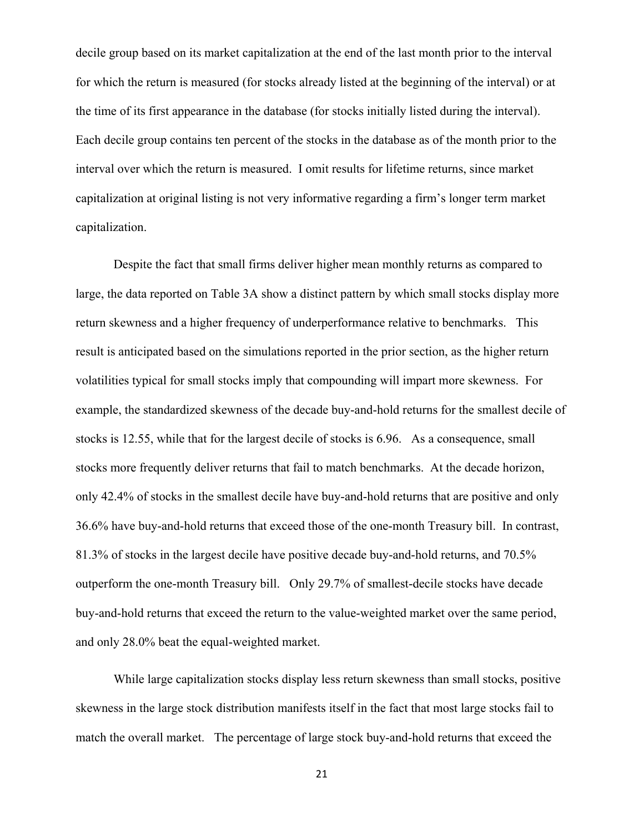decile group based on its market capitalization at the end of the last month prior to the interval for which the return is measured (for stocks already listed at the beginning of the interval) or at the time of its first appearance in the database (for stocks initially listed during the interval). Each decile group contains ten percent of the stocks in the database as of the month prior to the interval over which the return is measured. I omit results for lifetime returns, since market capitalization at original listing is not very informative regarding a firm's longer term market capitalization.

Despite the fact that small firms deliver higher mean monthly returns as compared to large, the data reported on Table 3A show a distinct pattern by which small stocks display more return skewness and a higher frequency of underperformance relative to benchmarks. This result is anticipated based on the simulations reported in the prior section, as the higher return volatilities typical for small stocks imply that compounding will impart more skewness. For example, the standardized skewness of the decade buy-and-hold returns for the smallest decile of stocks is 12.55, while that for the largest decile of stocks is 6.96. As a consequence, small stocks more frequently deliver returns that fail to match benchmarks. At the decade horizon, only 42.4% of stocks in the smallest decile have buy-and-hold returns that are positive and only 36.6% have buy-and-hold returns that exceed those of the one-month Treasury bill. In contrast, 81.3% of stocks in the largest decile have positive decade buy-and-hold returns, and 70.5% outperform the one-month Treasury bill. Only 29.7% of smallest-decile stocks have decade buy-and-hold returns that exceed the return to the value-weighted market over the same period, and only 28.0% beat the equal-weighted market.

While large capitalization stocks display less return skewness than small stocks, positive skewness in the large stock distribution manifests itself in the fact that most large stocks fail to match the overall market. The percentage of large stock buy-and-hold returns that exceed the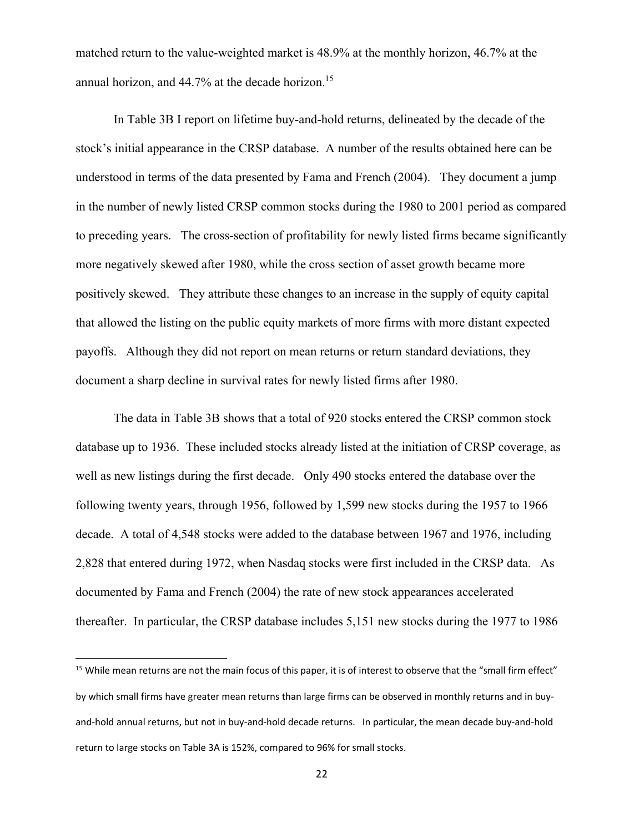matched return to the value-weighted market is 48.9% at the monthly horizon, 46.7% at the annual horizon, and 44.7% at the decade horizon.<sup>15</sup>

In Table 3B I report on lifetime buy-and-hold returns, delineated by the decade of the stock's initial appearance in the CRSP database. A number of the results obtained here can be understood in terms of the data presented by Fama and French (2004). They document a jump in the number of newly listed CRSP common stocks during the 1980 to 2001 period as compared to preceding years. The cross-section of profitability for newly listed firms became significantly more negatively skewed after 1980, while the cross section of asset growth became more positively skewed. They attribute these changes to an increase in the supply of equity capital that allowed the listing on the public equity markets of more firms with more distant expected payoffs. Although they did not report on mean returns or return standard deviations, they document a sharp decline in survival rates for newly listed firms after 1980.

The data in Table 3B shows that a total of 920 stocks entered the CRSP common stock database up to 1936. These included stocks already listed at the initiation of CRSP coverage, as well as new listings during the first decade. Only 490 stocks entered the database over the following twenty years, through 1956, followed by 1,599 new stocks during the 1957 to 1966 decade. A total of 4,548 stocks were added to the database between 1967 and 1976, including 2,828 that entered during 1972, when Nasdaq stocks were first included in the CRSP data. As documented by Fama and French (2004) the rate of new stock appearances accelerated thereafter. In particular, the CRSP database includes 5,151 new stocks during the 1977 to 1986

<sup>&</sup>lt;sup>15</sup> While mean returns are not the main focus of this paper, it is of interest to observe that the "small firm effect" by which small firms have greater mean returns than large firms can be observed in monthly returns and in buy‐ and‐hold annual returns, but not in buy‐and‐hold decade returns. In particular, the mean decade buy‐and‐hold return to large stocks on Table 3A is 152%, compared to 96% for small stocks.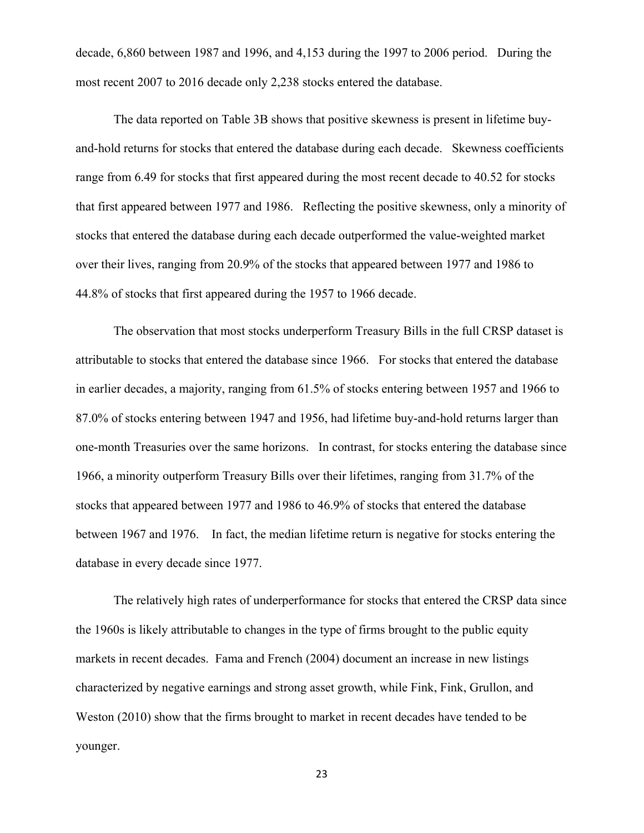decade, 6,860 between 1987 and 1996, and 4,153 during the 1997 to 2006 period. During the most recent 2007 to 2016 decade only 2,238 stocks entered the database.

The data reported on Table 3B shows that positive skewness is present in lifetime buyand-hold returns for stocks that entered the database during each decade. Skewness coefficients range from 6.49 for stocks that first appeared during the most recent decade to 40.52 for stocks that first appeared between 1977 and 1986. Reflecting the positive skewness, only a minority of stocks that entered the database during each decade outperformed the value-weighted market over their lives, ranging from 20.9% of the stocks that appeared between 1977 and 1986 to 44.8% of stocks that first appeared during the 1957 to 1966 decade.

The observation that most stocks underperform Treasury Bills in the full CRSP dataset is attributable to stocks that entered the database since 1966. For stocks that entered the database in earlier decades, a majority, ranging from 61.5% of stocks entering between 1957 and 1966 to 87.0% of stocks entering between 1947 and 1956, had lifetime buy-and-hold returns larger than one-month Treasuries over the same horizons. In contrast, for stocks entering the database since 1966, a minority outperform Treasury Bills over their lifetimes, ranging from 31.7% of the stocks that appeared between 1977 and 1986 to 46.9% of stocks that entered the database between 1967 and 1976. In fact, the median lifetime return is negative for stocks entering the database in every decade since 1977.

The relatively high rates of underperformance for stocks that entered the CRSP data since the 1960s is likely attributable to changes in the type of firms brought to the public equity markets in recent decades. Fama and French (2004) document an increase in new listings characterized by negative earnings and strong asset growth, while Fink, Fink, Grullon, and Weston (2010) show that the firms brought to market in recent decades have tended to be younger.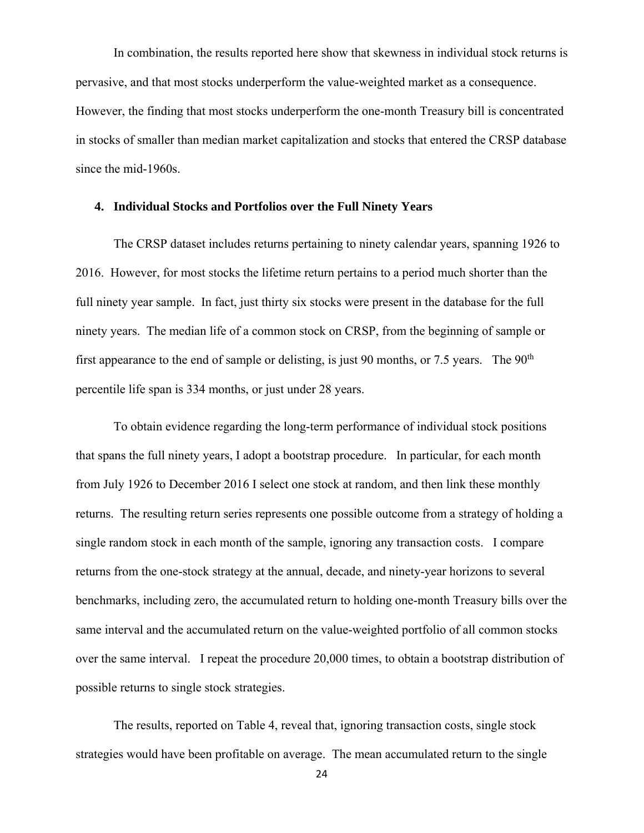In combination, the results reported here show that skewness in individual stock returns is pervasive, and that most stocks underperform the value-weighted market as a consequence. However, the finding that most stocks underperform the one-month Treasury bill is concentrated in stocks of smaller than median market capitalization and stocks that entered the CRSP database since the mid-1960s.

#### **4. Individual Stocks and Portfolios over the Full Ninety Years**

The CRSP dataset includes returns pertaining to ninety calendar years, spanning 1926 to 2016. However, for most stocks the lifetime return pertains to a period much shorter than the full ninety year sample. In fact, just thirty six stocks were present in the database for the full ninety years. The median life of a common stock on CRSP, from the beginning of sample or first appearance to the end of sample or delisting, is just 90 months, or 7.5 years. The  $90<sup>th</sup>$ percentile life span is 334 months, or just under 28 years.

To obtain evidence regarding the long-term performance of individual stock positions that spans the full ninety years, I adopt a bootstrap procedure. In particular, for each month from July 1926 to December 2016 I select one stock at random, and then link these monthly returns. The resulting return series represents one possible outcome from a strategy of holding a single random stock in each month of the sample, ignoring any transaction costs. I compare returns from the one-stock strategy at the annual, decade, and ninety-year horizons to several benchmarks, including zero, the accumulated return to holding one-month Treasury bills over the same interval and the accumulated return on the value-weighted portfolio of all common stocks over the same interval. I repeat the procedure 20,000 times, to obtain a bootstrap distribution of possible returns to single stock strategies.

The results, reported on Table 4, reveal that, ignoring transaction costs, single stock strategies would have been profitable on average. The mean accumulated return to the single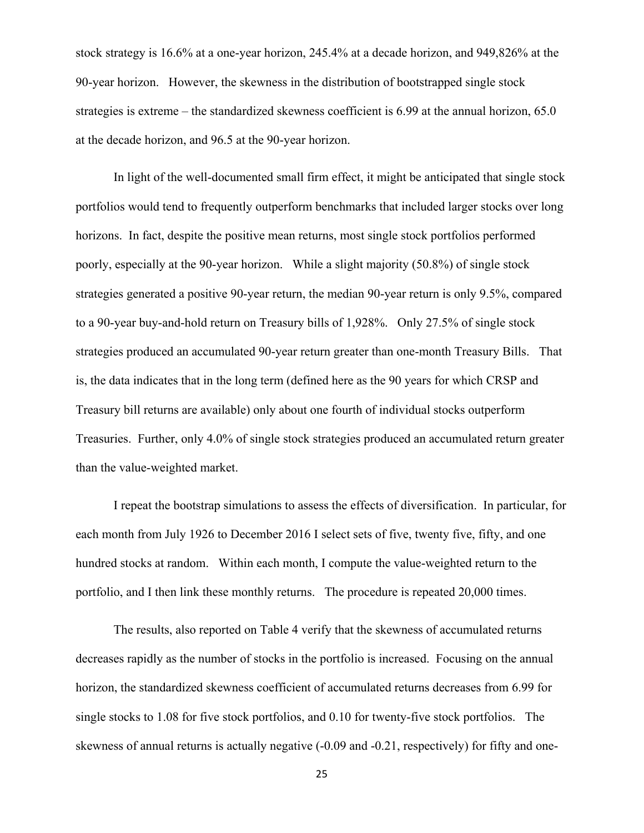stock strategy is 16.6% at a one-year horizon, 245.4% at a decade horizon, and 949,826% at the 90-year horizon. However, the skewness in the distribution of bootstrapped single stock strategies is extreme – the standardized skewness coefficient is 6.99 at the annual horizon, 65.0 at the decade horizon, and 96.5 at the 90-year horizon.

In light of the well-documented small firm effect, it might be anticipated that single stock portfolios would tend to frequently outperform benchmarks that included larger stocks over long horizons. In fact, despite the positive mean returns, most single stock portfolios performed poorly, especially at the 90-year horizon. While a slight majority (50.8%) of single stock strategies generated a positive 90-year return, the median 90-year return is only 9.5%, compared to a 90-year buy-and-hold return on Treasury bills of 1,928%. Only 27.5% of single stock strategies produced an accumulated 90-year return greater than one-month Treasury Bills. That is, the data indicates that in the long term (defined here as the 90 years for which CRSP and Treasury bill returns are available) only about one fourth of individual stocks outperform Treasuries. Further, only 4.0% of single stock strategies produced an accumulated return greater than the value-weighted market.

I repeat the bootstrap simulations to assess the effects of diversification. In particular, for each month from July 1926 to December 2016 I select sets of five, twenty five, fifty, and one hundred stocks at random. Within each month, I compute the value-weighted return to the portfolio, and I then link these monthly returns. The procedure is repeated 20,000 times.

The results, also reported on Table 4 verify that the skewness of accumulated returns decreases rapidly as the number of stocks in the portfolio is increased. Focusing on the annual horizon, the standardized skewness coefficient of accumulated returns decreases from 6.99 for single stocks to 1.08 for five stock portfolios, and 0.10 for twenty-five stock portfolios. The skewness of annual returns is actually negative (-0.09 and -0.21, respectively) for fifty and one-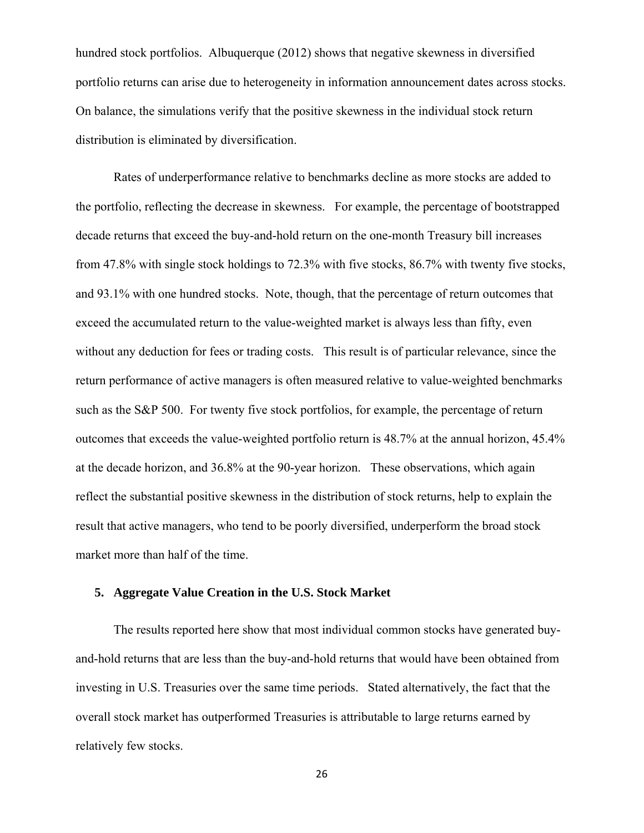hundred stock portfolios. Albuquerque (2012) shows that negative skewness in diversified portfolio returns can arise due to heterogeneity in information announcement dates across stocks. On balance, the simulations verify that the positive skewness in the individual stock return distribution is eliminated by diversification.

Rates of underperformance relative to benchmarks decline as more stocks are added to the portfolio, reflecting the decrease in skewness. For example, the percentage of bootstrapped decade returns that exceed the buy-and-hold return on the one-month Treasury bill increases from 47.8% with single stock holdings to 72.3% with five stocks, 86.7% with twenty five stocks, and 93.1% with one hundred stocks. Note, though, that the percentage of return outcomes that exceed the accumulated return to the value-weighted market is always less than fifty, even without any deduction for fees or trading costs. This result is of particular relevance, since the return performance of active managers is often measured relative to value-weighted benchmarks such as the S&P 500. For twenty five stock portfolios, for example, the percentage of return outcomes that exceeds the value-weighted portfolio return is 48.7% at the annual horizon, 45.4% at the decade horizon, and 36.8% at the 90-year horizon. These observations, which again reflect the substantial positive skewness in the distribution of stock returns, help to explain the result that active managers, who tend to be poorly diversified, underperform the broad stock market more than half of the time.

#### **5. Aggregate Value Creation in the U.S. Stock Market**

The results reported here show that most individual common stocks have generated buyand-hold returns that are less than the buy-and-hold returns that would have been obtained from investing in U.S. Treasuries over the same time periods. Stated alternatively, the fact that the overall stock market has outperformed Treasuries is attributable to large returns earned by relatively few stocks.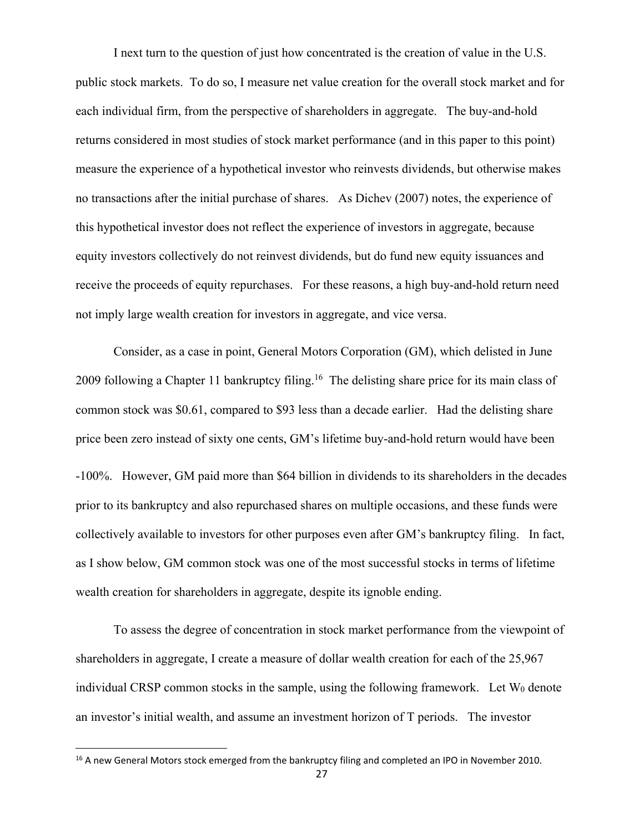I next turn to the question of just how concentrated is the creation of value in the U.S. public stock markets. To do so, I measure net value creation for the overall stock market and for each individual firm, from the perspective of shareholders in aggregate. The buy-and-hold returns considered in most studies of stock market performance (and in this paper to this point) measure the experience of a hypothetical investor who reinvests dividends, but otherwise makes no transactions after the initial purchase of shares. As Dichev (2007) notes, the experience of this hypothetical investor does not reflect the experience of investors in aggregate, because equity investors collectively do not reinvest dividends, but do fund new equity issuances and receive the proceeds of equity repurchases. For these reasons, a high buy-and-hold return need not imply large wealth creation for investors in aggregate, and vice versa.

Consider, as a case in point, General Motors Corporation (GM), which delisted in June 2009 following a Chapter 11 bankruptcy filing.<sup>16</sup> The delisting share price for its main class of common stock was \$0.61, compared to \$93 less than a decade earlier. Had the delisting share price been zero instead of sixty one cents, GM's lifetime buy-and-hold return would have been -100%. However, GM paid more than \$64 billion in dividends to its shareholders in the decades prior to its bankruptcy and also repurchased shares on multiple occasions, and these funds were collectively available to investors for other purposes even after GM's bankruptcy filing. In fact, as I show below, GM common stock was one of the most successful stocks in terms of lifetime wealth creation for shareholders in aggregate, despite its ignoble ending.

To assess the degree of concentration in stock market performance from the viewpoint of shareholders in aggregate, I create a measure of dollar wealth creation for each of the 25,967 individual CRSP common stocks in the sample, using the following framework. Let W<sub>0</sub> denote an investor's initial wealth, and assume an investment horizon of T periods. The investor

<sup>&</sup>lt;sup>16</sup> A new General Motors stock emerged from the bankruptcy filing and completed an IPO in November 2010.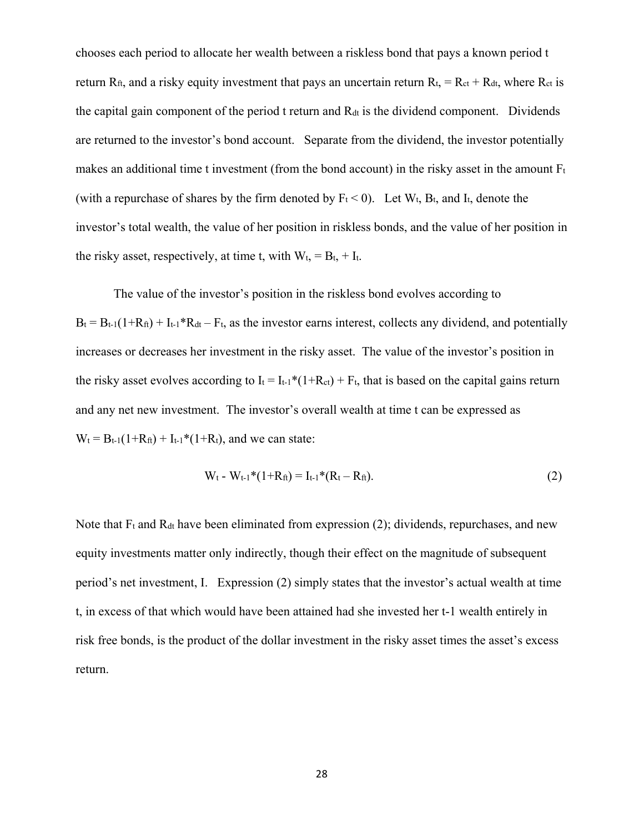chooses each period to allocate her wealth between a riskless bond that pays a known period t return  $R_{ft}$ , and a risky equity investment that pays an uncertain return  $R_{t} = R_{ct} + R_{dt}$ , where  $R_{ct}$  is the capital gain component of the period  $t$  return and  $R_{dt}$  is the dividend component. Dividends are returned to the investor's bond account. Separate from the dividend, the investor potentially makes an additional time t investment (from the bond account) in the risky asset in the amount  $F_t$ (with a repurchase of shares by the firm denoted by  $F_t < 0$ ). Let  $W_t$ ,  $B_t$ , and  $I_t$ , denote the investor's total wealth, the value of her position in riskless bonds, and the value of her position in the risky asset, respectively, at time t, with  $W_t$ , =  $B_t$ , +  $I_t$ .

The value of the investor's position in the riskless bond evolves according to  $B_t = B_{t-1}(1+R_{ft}) + I_{t-1}$ <sup>\*</sup> $R_{dt} - F_t$ , as the investor earns interest, collects any dividend, and potentially increases or decreases her investment in the risky asset. The value of the investor's position in the risky asset evolves according to  $I_t = I_{t-1}*(1+R_{ct}) + F_t$ , that is based on the capital gains return and any net new investment. The investor's overall wealth at time t can be expressed as  $W_t = B_{t-1}(1+R_{ft}) + I_{t-1}*(1+R_t)$ , and we can state:

$$
W_t - W_{t-1} * (1 + R_{ft}) = I_{t-1} * (R_t - R_{ft}).
$$
\n(2)

Note that  $F_t$  and  $R_{dt}$  have been eliminated from expression (2); dividends, repurchases, and new equity investments matter only indirectly, though their effect on the magnitude of subsequent period's net investment, I. Expression (2) simply states that the investor's actual wealth at time t, in excess of that which would have been attained had she invested her t-1 wealth entirely in risk free bonds, is the product of the dollar investment in the risky asset times the asset's excess return.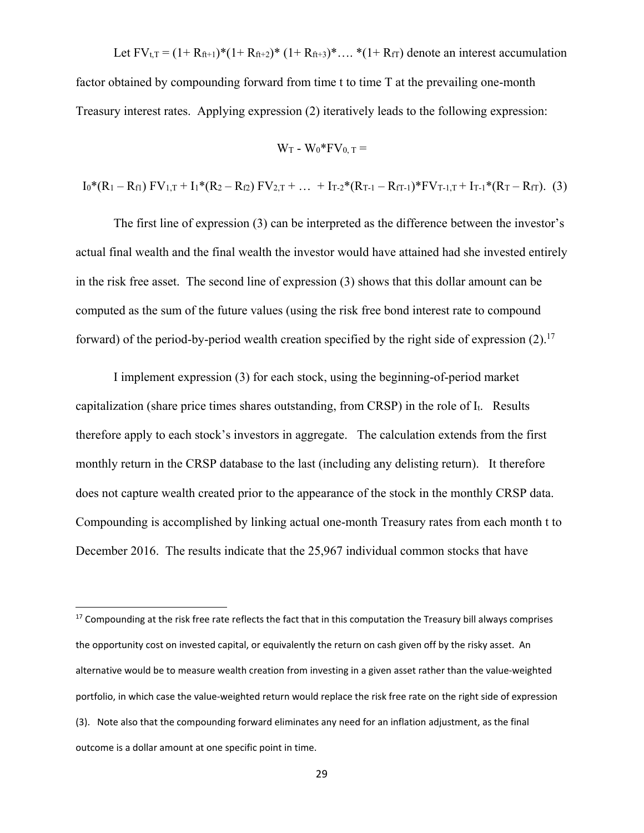Let  $FV_{t,T} = (1 + R_{ft+1})^*(1 + R_{ft+2})^*(1 + R_{ft+3})^*...$   $*(1 + R_{ff})$  denote an interest accumulation factor obtained by compounding forward from time t to time T at the prevailing one-month Treasury interest rates. Applying expression (2) iteratively leads to the following expression:

$$
W_T - W_0^* F V_{0, T} =
$$

$$
I_0^*(R_1 - R_{f1}) \ FV_{1,T} + I_1^*(R_2 - R_{f2}) \ FV_{2,T} + ... + I_{T-2}^*(R_{T-1} - R_{fT-1})^* \ FV_{T-1,T} + I_{T-1}^*(R_T - R_{fT}). \tag{3}
$$

 The first line of expression (3) can be interpreted as the difference between the investor's actual final wealth and the final wealth the investor would have attained had she invested entirely in the risk free asset. The second line of expression (3) shows that this dollar amount can be computed as the sum of the future values (using the risk free bond interest rate to compound forward) of the period-by-period wealth creation specified by the right side of expression  $(2)$ .<sup>17</sup>

 I implement expression (3) for each stock, using the beginning-of-period market capitalization (share price times shares outstanding, from CRSP) in the role of It. Results therefore apply to each stock's investors in aggregate. The calculation extends from the first monthly return in the CRSP database to the last (including any delisting return). It therefore does not capture wealth created prior to the appearance of the stock in the monthly CRSP data. Compounding is accomplished by linking actual one-month Treasury rates from each month t to December 2016. The results indicate that the 25,967 individual common stocks that have

<sup>&</sup>lt;sup>17</sup> Compounding at the risk free rate reflects the fact that in this computation the Treasury bill always comprises the opportunity cost on invested capital, or equivalently the return on cash given off by the risky asset. An alternative would be to measure wealth creation from investing in a given asset rather than the value‐weighted portfolio, in which case the value-weighted return would replace the risk free rate on the right side of expression (3). Note also that the compounding forward eliminates any need for an inflation adjustment, as the final outcome is a dollar amount at one specific point in time.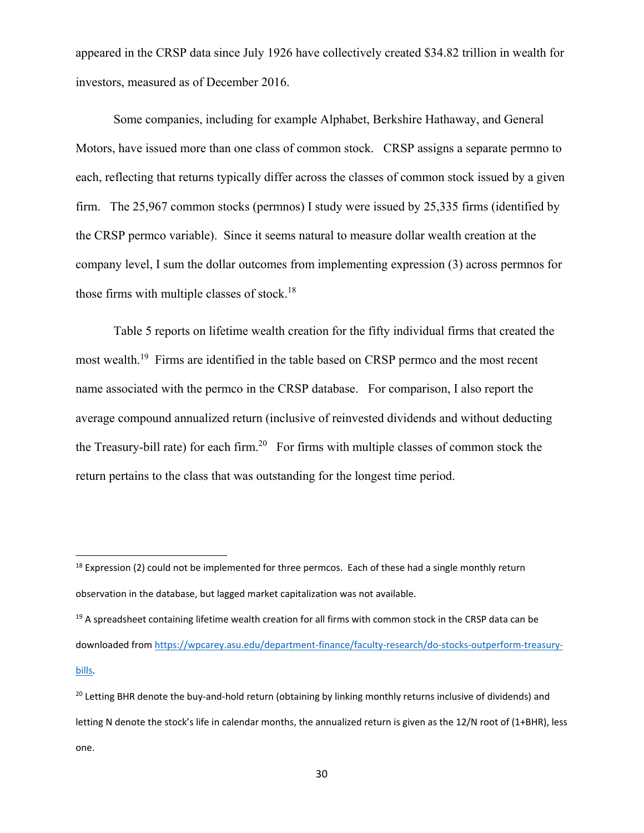appeared in the CRSP data since July 1926 have collectively created \$34.82 trillion in wealth for investors, measured as of December 2016.

Some companies, including for example Alphabet, Berkshire Hathaway, and General Motors, have issued more than one class of common stock. CRSP assigns a separate permno to each, reflecting that returns typically differ across the classes of common stock issued by a given firm. The 25,967 common stocks (permnos) I study were issued by 25,335 firms (identified by the CRSP permco variable). Since it seems natural to measure dollar wealth creation at the company level, I sum the dollar outcomes from implementing expression (3) across permnos for those firms with multiple classes of stock.18

Table 5 reports on lifetime wealth creation for the fifty individual firms that created the most wealth.<sup>19</sup> Firms are identified in the table based on CRSP permco and the most recent name associated with the permco in the CRSP database. For comparison, I also report the average compound annualized return (inclusive of reinvested dividends and without deducting the Treasury-bill rate) for each firm.<sup>20</sup> For firms with multiple classes of common stock the return pertains to the class that was outstanding for the longest time period.

<sup>&</sup>lt;sup>18</sup> Expression (2) could not be implemented for three permcos. Each of these had a single monthly return observation in the database, but lagged market capitalization was not available.

<sup>&</sup>lt;sup>19</sup> A spreadsheet containing lifetime wealth creation for all firms with common stock in the CRSP data can be downloaded from https://wpcarey.asu.edu/department‐finance/faculty‐research/do‐stocks‐outperform‐treasury‐ bills.

<sup>&</sup>lt;sup>20</sup> Letting BHR denote the buy-and-hold return (obtaining by linking monthly returns inclusive of dividends) and letting N denote the stock's life in calendar months, the annualized return is given as the 12/N root of (1+BHR), less one.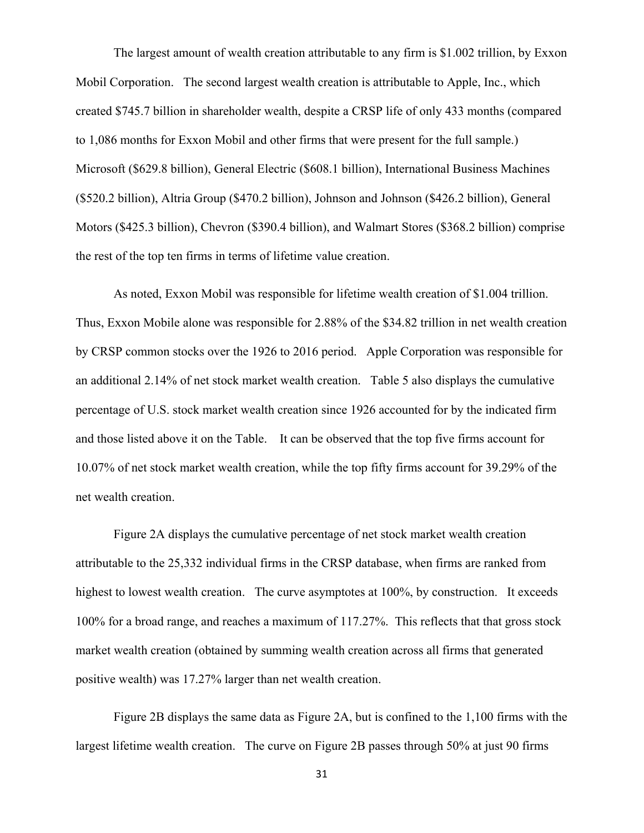The largest amount of wealth creation attributable to any firm is \$1.002 trillion, by Exxon Mobil Corporation. The second largest wealth creation is attributable to Apple, Inc., which created \$745.7 billion in shareholder wealth, despite a CRSP life of only 433 months (compared to 1,086 months for Exxon Mobil and other firms that were present for the full sample.) Microsoft (\$629.8 billion), General Electric (\$608.1 billion), International Business Machines (\$520.2 billion), Altria Group (\$470.2 billion), Johnson and Johnson (\$426.2 billion), General Motors (\$425.3 billion), Chevron (\$390.4 billion), and Walmart Stores (\$368.2 billion) comprise the rest of the top ten firms in terms of lifetime value creation.

 As noted, Exxon Mobil was responsible for lifetime wealth creation of \$1.004 trillion. Thus, Exxon Mobile alone was responsible for 2.88% of the \$34.82 trillion in net wealth creation by CRSP common stocks over the 1926 to 2016 period. Apple Corporation was responsible for an additional 2.14% of net stock market wealth creation. Table 5 also displays the cumulative percentage of U.S. stock market wealth creation since 1926 accounted for by the indicated firm and those listed above it on the Table. It can be observed that the top five firms account for 10.07% of net stock market wealth creation, while the top fifty firms account for 39.29% of the net wealth creation.

 Figure 2A displays the cumulative percentage of net stock market wealth creation attributable to the 25,332 individual firms in the CRSP database, when firms are ranked from highest to lowest wealth creation. The curve asymptotes at 100%, by construction. It exceeds 100% for a broad range, and reaches a maximum of 117.27%. This reflects that that gross stock market wealth creation (obtained by summing wealth creation across all firms that generated positive wealth) was 17.27% larger than net wealth creation.

 Figure 2B displays the same data as Figure 2A, but is confined to the 1,100 firms with the largest lifetime wealth creation. The curve on Figure 2B passes through 50% at just 90 firms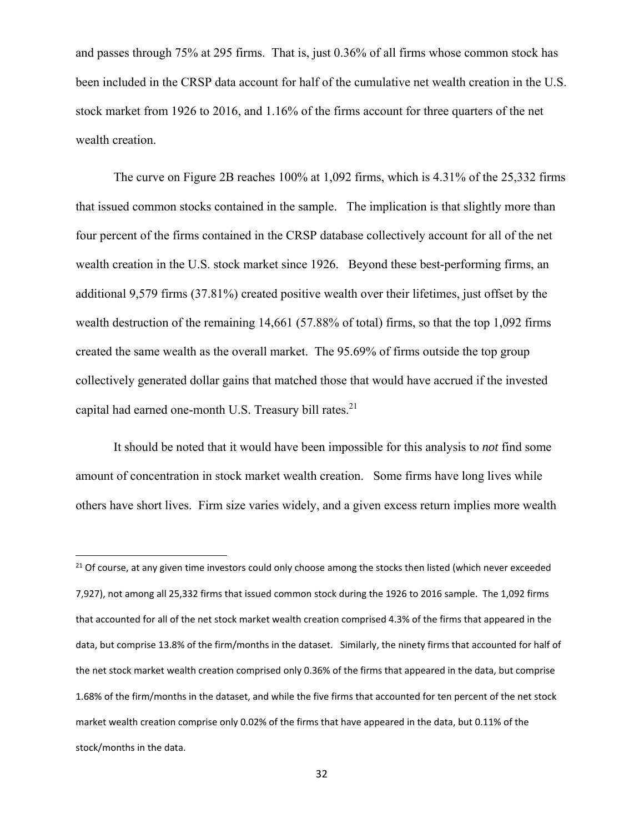and passes through 75% at 295 firms. That is, just 0.36% of all firms whose common stock has been included in the CRSP data account for half of the cumulative net wealth creation in the U.S. stock market from 1926 to 2016, and 1.16% of the firms account for three quarters of the net wealth creation.

 The curve on Figure 2B reaches 100% at 1,092 firms, which is 4.31% of the 25,332 firms that issued common stocks contained in the sample. The implication is that slightly more than four percent of the firms contained in the CRSP database collectively account for all of the net wealth creation in the U.S. stock market since 1926. Beyond these best-performing firms, an additional 9,579 firms (37.81%) created positive wealth over their lifetimes, just offset by the wealth destruction of the remaining 14,661 (57.88% of total) firms, so that the top 1,092 firms created the same wealth as the overall market. The 95.69% of firms outside the top group collectively generated dollar gains that matched those that would have accrued if the invested capital had earned one-month U.S. Treasury bill rates.<sup>21</sup>

 It should be noted that it would have been impossible for this analysis to *not* find some amount of concentration in stock market wealth creation. Some firms have long lives while others have short lives. Firm size varies widely, and a given excess return implies more wealth

<sup>&</sup>lt;sup>21</sup> Of course, at any given time investors could only choose among the stocks then listed (which never exceeded 7,927), not among all 25,332 firms that issued common stock during the 1926 to 2016 sample. The 1,092 firms that accounted for all of the net stock market wealth creation comprised 4.3% of the firms that appeared in the data, but comprise 13.8% of the firm/months in the dataset. Similarly, the ninety firms that accounted for half of the net stock market wealth creation comprised only 0.36% of the firms that appeared in the data, but comprise 1.68% of the firm/months in the dataset, and while the five firms that accounted for ten percent of the net stock market wealth creation comprise only 0.02% of the firms that have appeared in the data, but 0.11% of the stock/months in the data.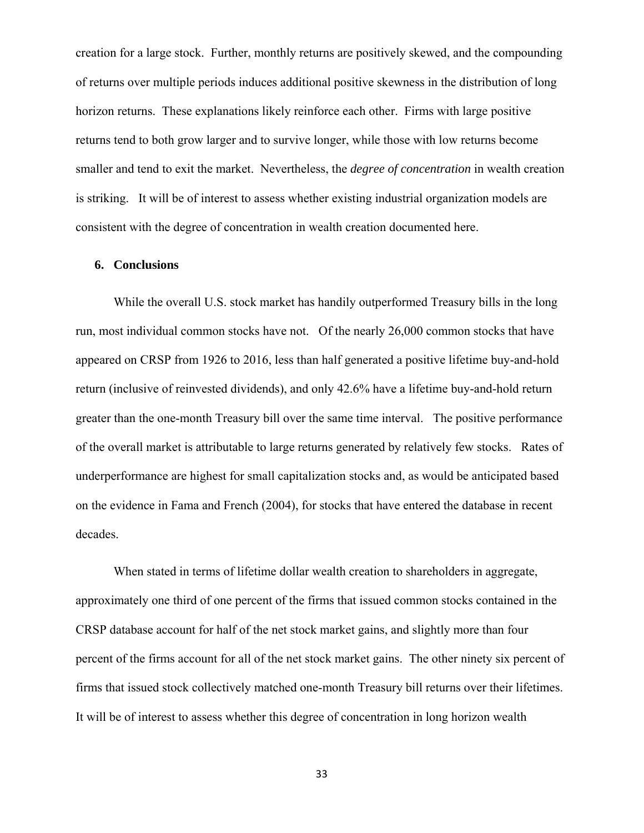creation for a large stock. Further, monthly returns are positively skewed, and the compounding of returns over multiple periods induces additional positive skewness in the distribution of long horizon returns. These explanations likely reinforce each other. Firms with large positive returns tend to both grow larger and to survive longer, while those with low returns become smaller and tend to exit the market. Nevertheless, the *degree of concentration* in wealth creation is striking. It will be of interest to assess whether existing industrial organization models are consistent with the degree of concentration in wealth creation documented here.

#### **6. Conclusions**

While the overall U.S. stock market has handily outperformed Treasury bills in the long run, most individual common stocks have not. Of the nearly 26,000 common stocks that have appeared on CRSP from 1926 to 2016, less than half generated a positive lifetime buy-and-hold return (inclusive of reinvested dividends), and only 42.6% have a lifetime buy-and-hold return greater than the one-month Treasury bill over the same time interval. The positive performance of the overall market is attributable to large returns generated by relatively few stocks. Rates of underperformance are highest for small capitalization stocks and, as would be anticipated based on the evidence in Fama and French (2004), for stocks that have entered the database in recent decades.

When stated in terms of lifetime dollar wealth creation to shareholders in aggregate, approximately one third of one percent of the firms that issued common stocks contained in the CRSP database account for half of the net stock market gains, and slightly more than four percent of the firms account for all of the net stock market gains. The other ninety six percent of firms that issued stock collectively matched one-month Treasury bill returns over their lifetimes. It will be of interest to assess whether this degree of concentration in long horizon wealth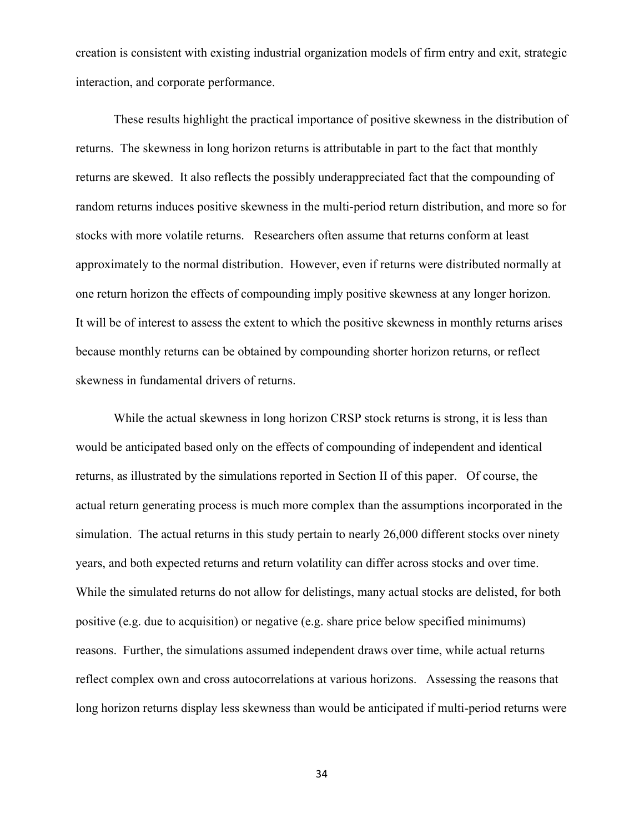creation is consistent with existing industrial organization models of firm entry and exit, strategic interaction, and corporate performance.

These results highlight the practical importance of positive skewness in the distribution of returns. The skewness in long horizon returns is attributable in part to the fact that monthly returns are skewed. It also reflects the possibly underappreciated fact that the compounding of random returns induces positive skewness in the multi-period return distribution, and more so for stocks with more volatile returns. Researchers often assume that returns conform at least approximately to the normal distribution. However, even if returns were distributed normally at one return horizon the effects of compounding imply positive skewness at any longer horizon. It will be of interest to assess the extent to which the positive skewness in monthly returns arises because monthly returns can be obtained by compounding shorter horizon returns, or reflect skewness in fundamental drivers of returns.

While the actual skewness in long horizon CRSP stock returns is strong, it is less than would be anticipated based only on the effects of compounding of independent and identical returns, as illustrated by the simulations reported in Section II of this paper. Of course, the actual return generating process is much more complex than the assumptions incorporated in the simulation. The actual returns in this study pertain to nearly 26,000 different stocks over ninety years, and both expected returns and return volatility can differ across stocks and over time. While the simulated returns do not allow for delistings, many actual stocks are delisted, for both positive (e.g. due to acquisition) or negative (e.g. share price below specified minimums) reasons. Further, the simulations assumed independent draws over time, while actual returns reflect complex own and cross autocorrelations at various horizons. Assessing the reasons that long horizon returns display less skewness than would be anticipated if multi-period returns were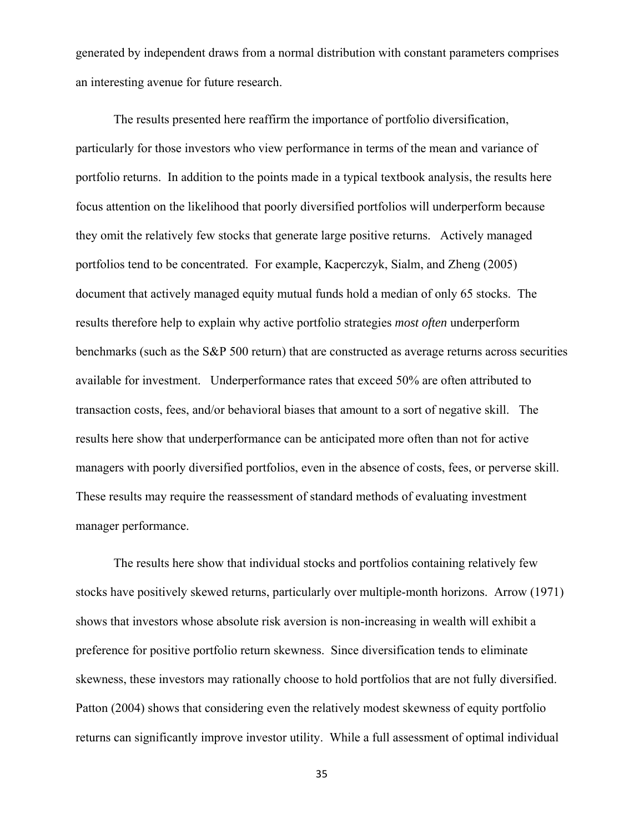generated by independent draws from a normal distribution with constant parameters comprises an interesting avenue for future research.

The results presented here reaffirm the importance of portfolio diversification, particularly for those investors who view performance in terms of the mean and variance of portfolio returns. In addition to the points made in a typical textbook analysis, the results here focus attention on the likelihood that poorly diversified portfolios will underperform because they omit the relatively few stocks that generate large positive returns. Actively managed portfolios tend to be concentrated. For example, Kacperczyk, Sialm, and Zheng (2005) document that actively managed equity mutual funds hold a median of only 65 stocks. The results therefore help to explain why active portfolio strategies *most often* underperform benchmarks (such as the S&P 500 return) that are constructed as average returns across securities available for investment. Underperformance rates that exceed 50% are often attributed to transaction costs, fees, and/or behavioral biases that amount to a sort of negative skill. The results here show that underperformance can be anticipated more often than not for active managers with poorly diversified portfolios, even in the absence of costs, fees, or perverse skill. These results may require the reassessment of standard methods of evaluating investment manager performance.

The results here show that individual stocks and portfolios containing relatively few stocks have positively skewed returns, particularly over multiple-month horizons. Arrow (1971) shows that investors whose absolute risk aversion is non-increasing in wealth will exhibit a preference for positive portfolio return skewness. Since diversification tends to eliminate skewness, these investors may rationally choose to hold portfolios that are not fully diversified. Patton (2004) shows that considering even the relatively modest skewness of equity portfolio returns can significantly improve investor utility. While a full assessment of optimal individual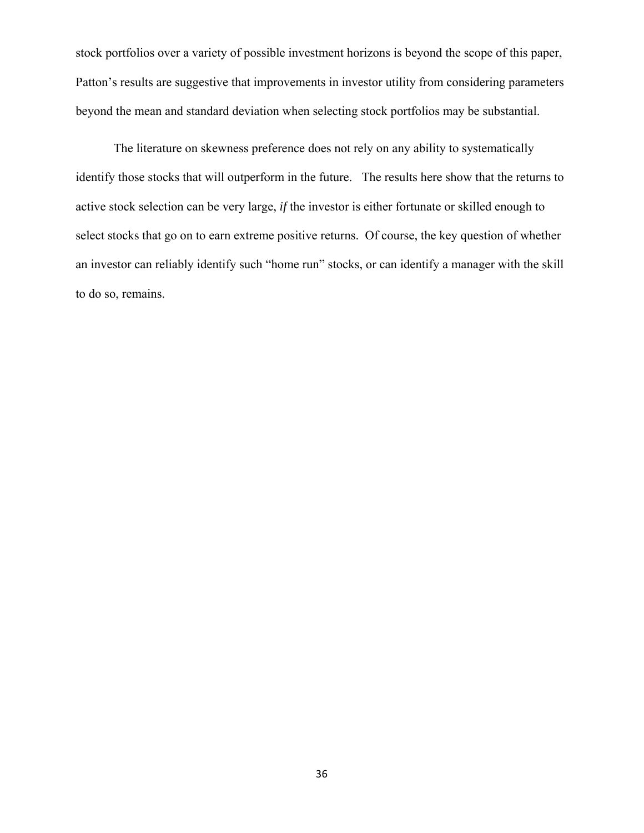stock portfolios over a variety of possible investment horizons is beyond the scope of this paper, Patton's results are suggestive that improvements in investor utility from considering parameters beyond the mean and standard deviation when selecting stock portfolios may be substantial.

The literature on skewness preference does not rely on any ability to systematically identify those stocks that will outperform in the future. The results here show that the returns to active stock selection can be very large, *if* the investor is either fortunate or skilled enough to select stocks that go on to earn extreme positive returns. Of course, the key question of whether an investor can reliably identify such "home run" stocks, or can identify a manager with the skill to do so, remains.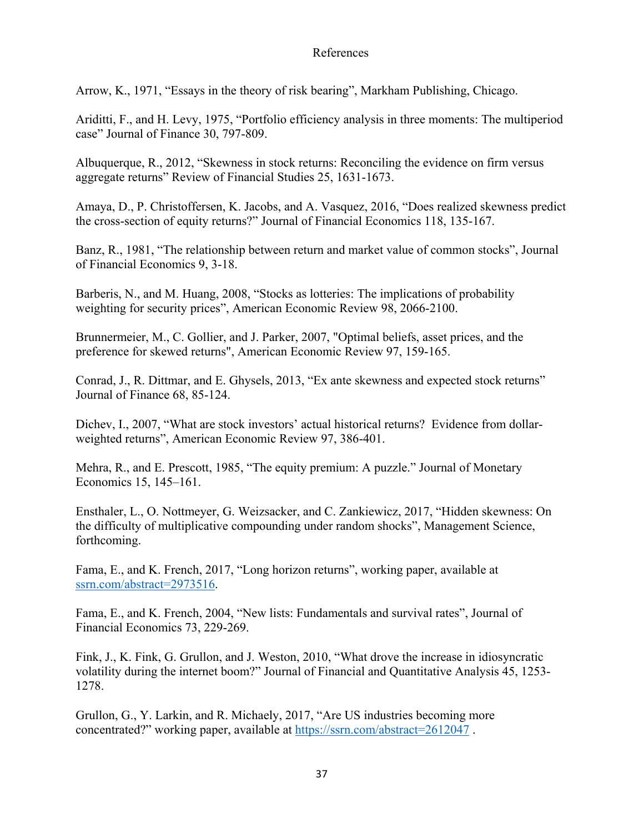### References

Arrow, K., 1971, "Essays in the theory of risk bearing", Markham Publishing, Chicago.

Ariditti, F., and H. Levy, 1975, "Portfolio efficiency analysis in three moments: The multiperiod case" Journal of Finance 30, 797-809.

Albuquerque, R., 2012, "Skewness in stock returns: Reconciling the evidence on firm versus aggregate returns" Review of Financial Studies 25, 1631-1673.

Amaya, D., P. Christoffersen, K. Jacobs, and A. Vasquez, 2016, "Does realized skewness predict the cross-section of equity returns?" Journal of Financial Economics 118, 135-167.

Banz, R., 1981, "The relationship between return and market value of common stocks", Journal of Financial Economics 9, 3-18.

Barberis, N., and M. Huang, 2008, "Stocks as lotteries: The implications of probability weighting for security prices", American Economic Review 98, 2066-2100.

Brunnermeier, M., C. Gollier, and J. Parker, 2007, "Optimal beliefs, asset prices, and the preference for skewed returns", American Economic Review 97, 159-165.

Conrad, J., R. Dittmar, and E. Ghysels, 2013, "Ex ante skewness and expected stock returns" Journal of Finance 68, 85-124.

Dichev, I., 2007, "What are stock investors' actual historical returns? Evidence from dollarweighted returns", American Economic Review 97, 386-401.

Mehra, R., and E. Prescott, 1985, "The equity premium: A puzzle." Journal of Monetary Economics 15, 145–161.

Ensthaler, L., O. Nottmeyer, G. Weizsacker, and C. Zankiewicz, 2017, "Hidden skewness: On the difficulty of multiplicative compounding under random shocks", Management Science, forthcoming.

Fama, E., and K. French, 2017, "Long horizon returns", working paper, available at ssrn.com/abstract=2973516.

Fama, E., and K. French, 2004, "New lists: Fundamentals and survival rates", Journal of Financial Economics 73, 229-269.

Fink, J., K. Fink, G. Grullon, and J. Weston, 2010, "What drove the increase in idiosyncratic volatility during the internet boom?" Journal of Financial and Quantitative Analysis 45, 1253- 1278.

Grullon, G., Y. Larkin, and R. Michaely, 2017, "Are US industries becoming more concentrated?" working paper, available at https://ssrn.com/abstract=2612047 .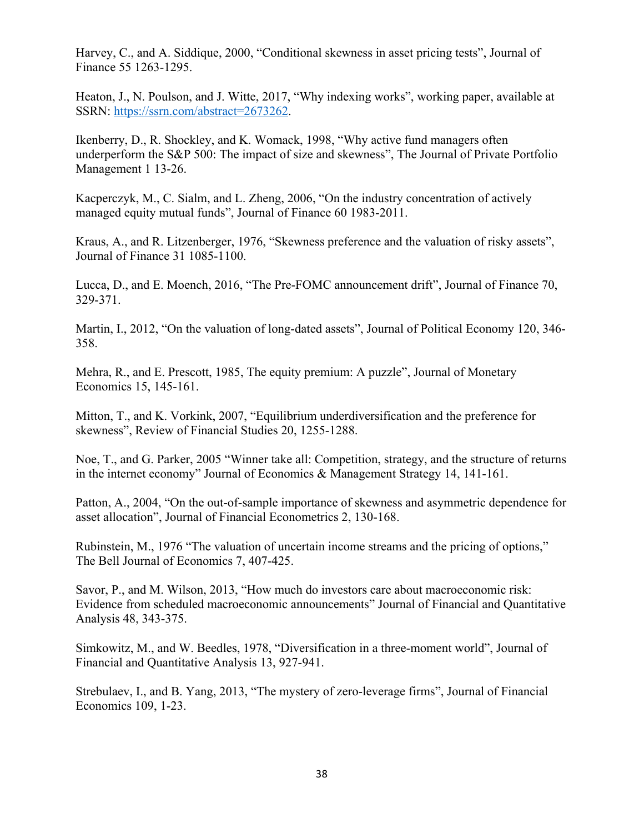Harvey, C., and A. Siddique, 2000, "Conditional skewness in asset pricing tests", Journal of Finance 55 1263-1295.

Heaton, J., N. Poulson, and J. Witte, 2017, "Why indexing works", working paper, available at SSRN: https://ssrn.com/abstract=2673262.

Ikenberry, D., R. Shockley, and K. Womack, 1998, "Why active fund managers often underperform the S&P 500: The impact of size and skewness", The Journal of Private Portfolio Management 1 13-26.

Kacperczyk, M., C. Sialm, and L. Zheng, 2006, "On the industry concentration of actively managed equity mutual funds", Journal of Finance 60 1983-2011.

Kraus, A., and R. Litzenberger, 1976, "Skewness preference and the valuation of risky assets", Journal of Finance 31 1085-1100.

Lucca, D., and E. Moench, 2016, "The Pre-FOMC announcement drift", Journal of Finance 70, 329-371.

Martin, I., 2012, "On the valuation of long-dated assets", Journal of Political Economy 120, 346- 358.

Mehra, R., and E. Prescott, 1985, The equity premium: A puzzle", Journal of Monetary Economics 15, 145-161.

Mitton, T., and K. Vorkink, 2007, "Equilibrium underdiversification and the preference for skewness", Review of Financial Studies 20, 1255-1288.

Noe, T., and G. Parker, 2005 "Winner take all: Competition, strategy, and the structure of returns in the internet economy" Journal of Economics & Management Strategy 14, 141-161.

Patton, A., 2004, "On the out-of-sample importance of skewness and asymmetric dependence for asset allocation", Journal of Financial Econometrics 2, 130-168.

Rubinstein, M., 1976 "The valuation of uncertain income streams and the pricing of options," The Bell Journal of Economics 7, 407-425.

Savor, P., and M. Wilson, 2013, "How much do investors care about macroeconomic risk: Evidence from scheduled macroeconomic announcements" Journal of Financial and Quantitative Analysis 48, 343-375.

Simkowitz, M., and W. Beedles, 1978, "Diversification in a three-moment world", Journal of Financial and Quantitative Analysis 13, 927-941.

Strebulaev, I., and B. Yang, 2013, "The mystery of zero-leverage firms", Journal of Financial Economics 109, 1-23.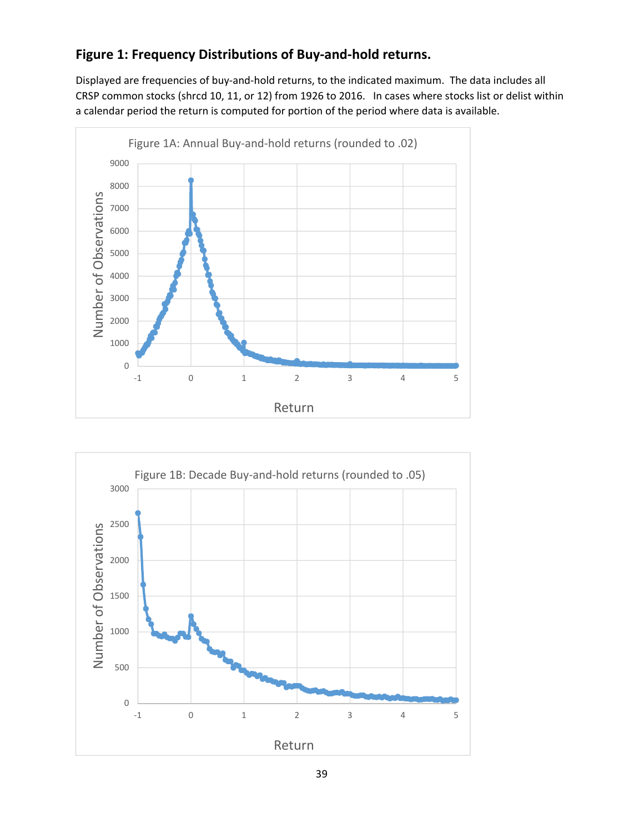# **Figure 1: Frequency Distributions of Buy‐and‐hold returns.**

Displayed are frequencies of buy‐and‐hold returns, to the indicated maximum. The data includes all CRSP common stocks (shrcd 10, 11, or 12) from 1926 to 2016. In cases where stocks list or delist within a calendar period the return is computed for portion of the period where data is available.



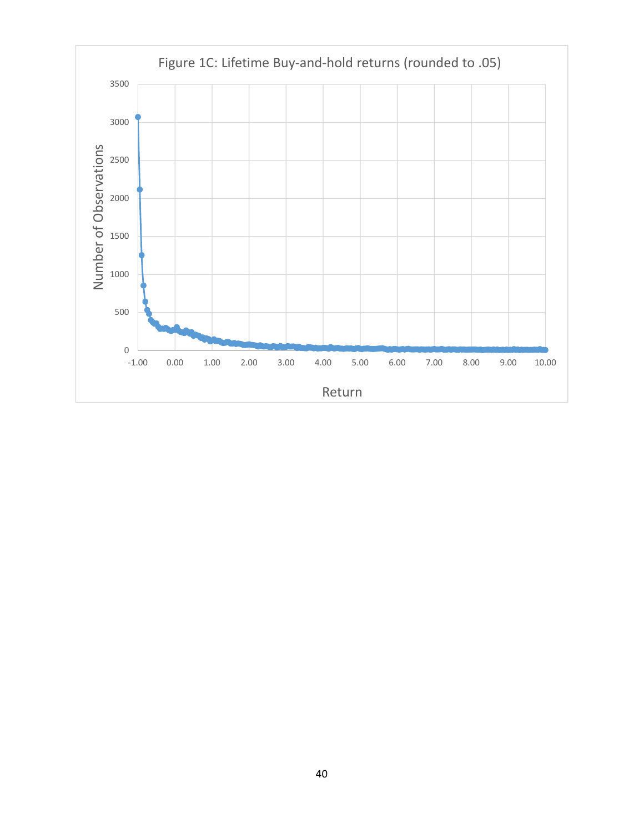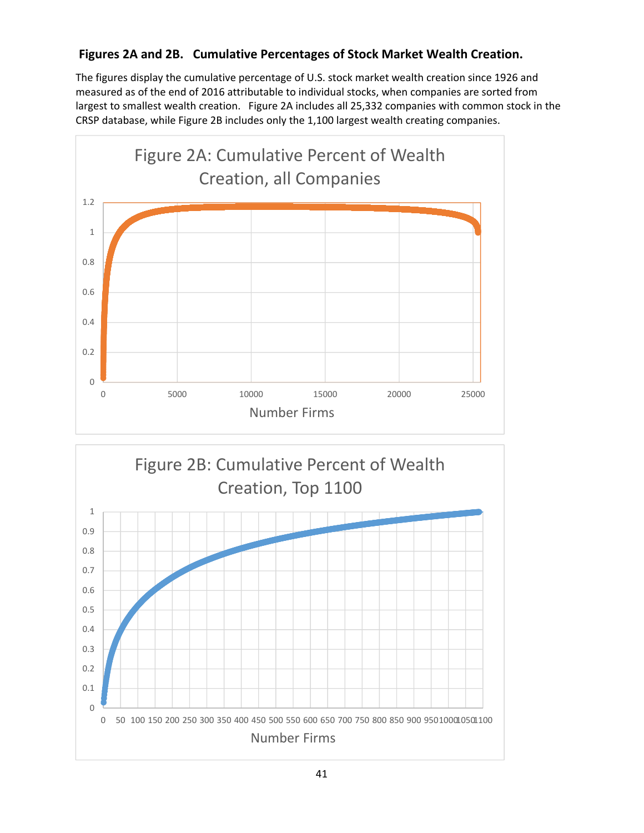# **Figures 2A and 2B. Cumulative Percentages of Stock Market Wealth Creation.**

The figures display the cumulative percentage of U.S. stock market wealth creation since 1926 and measured as of the end of 2016 attributable to individual stocks, when companies are sorted from largest to smallest wealth creation. Figure 2A includes all 25,332 companies with common stock in the CRSP database, while Figure 2B includes only the 1,100 largest wealth creating companies.



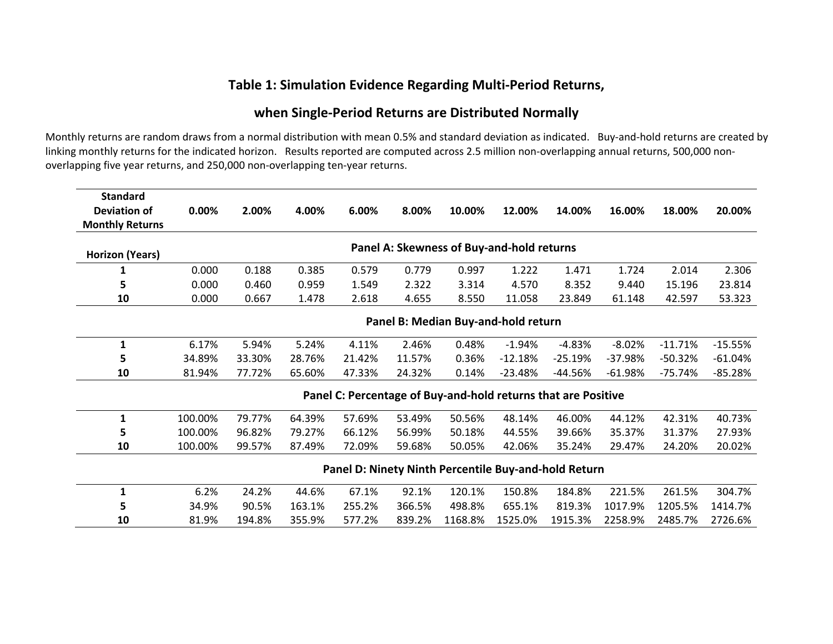# **Table 1: Simulation Evidence Regarding Multi‐Period Returns,**

### **when Single‐Period Returns are Distributed Normally**

Monthly returns are random draws from a normal distribution with mean 0.5% and standard deviation as indicated. Buy-and-hold returns are created by linking monthly returns for the indicated horizon. Results reported are computed across 2.5 million non‐overlapping annual returns, 500,000 non‐ overlapping five year returns, and 250,000 non‐overlapping ten‐year returns.

| <b>Standard</b>                                                     |                                     |        |        |                                                               |        |         |           |           |           |           |           |  |
|---------------------------------------------------------------------|-------------------------------------|--------|--------|---------------------------------------------------------------|--------|---------|-----------|-----------|-----------|-----------|-----------|--|
| <b>Deviation of</b>                                                 | 0.00%                               | 2.00%  | 4.00%  | 6.00%                                                         | 8.00%  | 10.00%  | 12.00%    | 14.00%    | 16.00%    | 18.00%    | 20.00%    |  |
| <b>Monthly Returns</b>                                              |                                     |        |        |                                                               |        |         |           |           |           |           |           |  |
| Panel A: Skewness of Buy-and-hold returns<br><b>Horizon (Years)</b> |                                     |        |        |                                                               |        |         |           |           |           |           |           |  |
|                                                                     |                                     |        |        |                                                               |        |         |           |           |           |           |           |  |
|                                                                     | 0.000                               | 0.188  | 0.385  | 0.579                                                         | 0.779  | 0.997   | 1.222     | 1.471     | 1.724     | 2.014     | 2.306     |  |
| 5                                                                   | 0.000                               | 0.460  | 0.959  | 1.549                                                         | 2.322  | 3.314   | 4.570     | 8.352     | 9.440     | 15.196    | 23.814    |  |
| 10                                                                  | 0.000                               | 0.667  | 1.478  | 2.618                                                         | 4.655  | 8.550   | 11.058    | 23.849    | 61.148    | 42.597    | 53.323    |  |
|                                                                     | Panel B: Median Buy-and-hold return |        |        |                                                               |        |         |           |           |           |           |           |  |
| 1                                                                   | 6.17%                               | 5.94%  | 5.24%  | 4.11%                                                         | 2.46%  | 0.48%   | $-1.94%$  | $-4.83%$  | $-8.02%$  | $-11.71%$ | $-15.55%$ |  |
| 5                                                                   | 34.89%                              | 33.30% | 28.76% | 21.42%                                                        | 11.57% | 0.36%   | $-12.18%$ | $-25.19%$ | $-37.98%$ | $-50.32%$ | $-61.04%$ |  |
| 10                                                                  | 81.94%                              | 77.72% | 65.60% | 47.33%                                                        | 24.32% | 0.14%   | $-23.48%$ | $-44.56%$ | $-61.98%$ | $-75.74%$ | $-85.28%$ |  |
|                                                                     |                                     |        |        | Panel C: Percentage of Buy-and-hold returns that are Positive |        |         |           |           |           |           |           |  |
| 1                                                                   | 100.00%                             | 79.77% | 64.39% | 57.69%                                                        | 53.49% | 50.56%  | 48.14%    | 46.00%    | 44.12%    | 42.31%    | 40.73%    |  |
| 5                                                                   | 100.00%                             | 96.82% | 79.27% | 66.12%                                                        | 56.99% | 50.18%  | 44.55%    | 39.66%    | 35.37%    | 31.37%    | 27.93%    |  |
| 10                                                                  | 100.00%                             | 99.57% | 87.49% | 72.09%                                                        | 59.68% | 50.05%  | 42.06%    | 35.24%    | 29.47%    | 24.20%    | 20.02%    |  |
|                                                                     |                                     |        |        | Panel D: Ninety Ninth Percentile Buy-and-hold Return          |        |         |           |           |           |           |           |  |
| 1                                                                   | 6.2%                                | 24.2%  | 44.6%  | 67.1%                                                         | 92.1%  | 120.1%  | 150.8%    | 184.8%    | 221.5%    | 261.5%    | 304.7%    |  |
| 5                                                                   | 34.9%                               | 90.5%  | 163.1% | 255.2%                                                        | 366.5% | 498.8%  | 655.1%    | 819.3%    | 1017.9%   | 1205.5%   | 1414.7%   |  |
| 10                                                                  | 81.9%                               | 194.8% | 355.9% | 577.2%                                                        | 839.2% | 1168.8% | 1525.0%   | 1915.3%   | 2258.9%   | 2485.7%   | 2726.6%   |  |
|                                                                     |                                     |        |        |                                                               |        |         |           |           |           |           |           |  |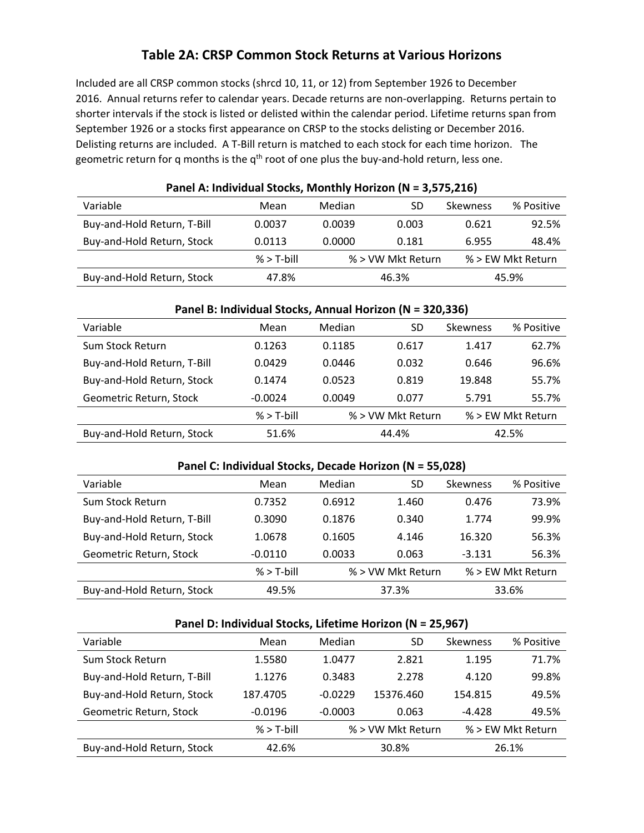# **Table 2A: CRSP Common Stock Returns at Various Horizons**

Included are all CRSP common stocks (shrcd 10, 11, or 12) from September 1926 to December 2016. Annual returns refer to calendar years. Decade returns are non-overlapping. Returns pertain to shorter intervals if the stock is listed or delisted within the calendar period. Lifetime returns span from September 1926 or a stocks first appearance on CRSP to the stocks delisting or December 2016. Delisting returns are included. A T-Bill return is matched to each stock for each time horizon. The geometric return for q months is the  $q<sup>th</sup>$  root of one plus the buy-and-hold return, less one.

| Panel A: Individual Stocks, Monthly Horizon (N = 3,575,216) |              |        |                   |                 |                   |  |  |  |  |  |
|-------------------------------------------------------------|--------------|--------|-------------------|-----------------|-------------------|--|--|--|--|--|
| Variable                                                    | Mean         | Median | SD                | <b>Skewness</b> | % Positive        |  |  |  |  |  |
| Buy-and-Hold Return, T-Bill                                 | 0.0037       | 0.0039 | 0.003             | 0.621           | 92.5%             |  |  |  |  |  |
| Buy-and-Hold Return, Stock                                  | 0.0113       | 0.0000 | 0.181             | 6.955           | 48.4%             |  |  |  |  |  |
|                                                             | $%$ > T-bill |        | % > VW Mkt Return |                 | % > EW Mkt Return |  |  |  |  |  |
| Buy-and-Hold Return, Stock                                  | 47.8%        | 46.3%  |                   |                 | 45.9%             |  |  |  |  |  |

# **Panel A: Individual Stocks, Monthly Horizon (N = 3,575,216)**

| Panel B: Individual Stocks, Annual Horizon (N = 320,336) |              |        |                   |          |                   |  |  |  |  |  |  |
|----------------------------------------------------------|--------------|--------|-------------------|----------|-------------------|--|--|--|--|--|--|
| Variable                                                 | Mean         | Median | SD                | Skewness | % Positive        |  |  |  |  |  |  |
| Sum Stock Return                                         | 0.1263       | 0.1185 | 0.617             | 1.417    | 62.7%             |  |  |  |  |  |  |
| Buy-and-Hold Return, T-Bill                              | 0.0429       | 0.0446 | 0.032             | 0.646    | 96.6%             |  |  |  |  |  |  |
| Buy-and-Hold Return, Stock                               | 0.1474       | 0.0523 | 0.819             | 19.848   | 55.7%             |  |  |  |  |  |  |
| Geometric Return, Stock                                  | $-0.0024$    | 0.0049 | 0.077             | 5.791    | 55.7%             |  |  |  |  |  |  |
|                                                          | $%$ > T-bill |        | % > VW Mkt Return |          | % > EW Mkt Return |  |  |  |  |  |  |
| Buy-and-Hold Return, Stock                               | 51.6%        |        | 44.4%             |          | 42.5%             |  |  |  |  |  |  |

#### **Panel C: Individual Stocks, Decade Horizon (N = 55,028)**

| Variable                    | Mean         | Median | <b>SD</b>         | <b>Skewness</b> | % Positive        |  |
|-----------------------------|--------------|--------|-------------------|-----------------|-------------------|--|
| Sum Stock Return            | 0.7352       | 0.6912 | 1.460             | 0.476           | 73.9%             |  |
| Buy-and-Hold Return, T-Bill | 0.3090       | 0.1876 | 0.340             | 1.774           | 99.9%             |  |
| Buy-and-Hold Return, Stock  | 1.0678       | 0.1605 | 4.146             | 16.320          | 56.3%             |  |
| Geometric Return, Stock     | $-0.0110$    | 0.0033 | 0.063             | $-3.131$        | 56.3%             |  |
|                             | $%$ > T-bill |        | % > VW Mkt Return |                 | % > EW Mkt Return |  |
| Buy-and-Hold Return, Stock  | 49.5%        | 37.3%  |                   |                 | 33.6%             |  |

#### **Panel D: Individual Stocks, Lifetime Horizon (N = 25,967)**

| Variable                    | Mean         | Median    | SD                | <b>Skewness</b> | % Positive        |  |
|-----------------------------|--------------|-----------|-------------------|-----------------|-------------------|--|
| Sum Stock Return            | 1.5580       | 1.0477    | 2.821             | 1.195           | 71.7%             |  |
| Buy-and-Hold Return, T-Bill | 1.1276       | 0.3483    | 2.278             | 4.120           | 99.8%             |  |
| Buy-and-Hold Return, Stock  | 187.4705     | $-0.0229$ | 15376.460         | 154.815         | 49.5%             |  |
| Geometric Return, Stock     | $-0.0196$    | $-0.0003$ | 0.063             | $-4.428$        | 49.5%             |  |
|                             | $%$ > T-bill |           | % > VW Mkt Return |                 | % > EW Mkt Return |  |
| Buy-and-Hold Return, Stock  | 42.6%        | 30.8%     |                   |                 | 26.1%             |  |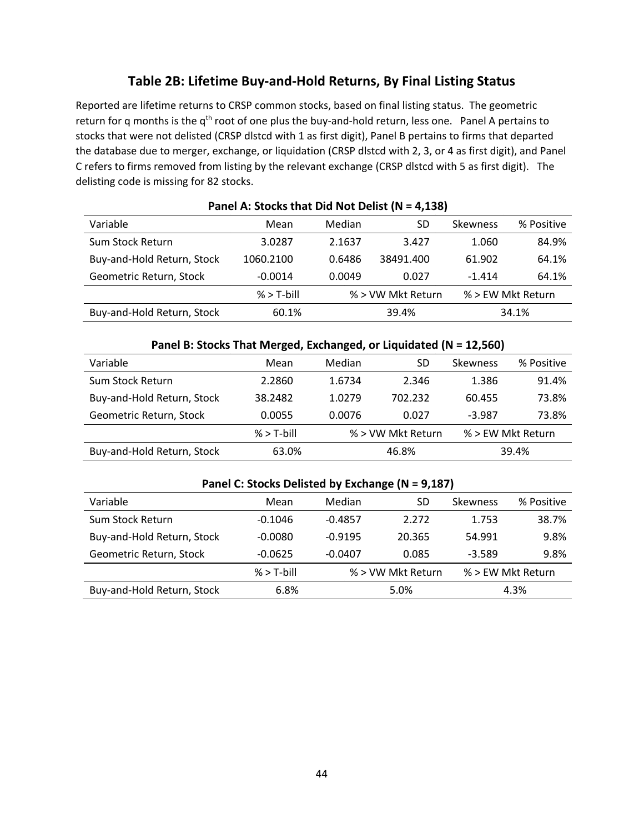# **Table 2B: Lifetime Buy‐and‐Hold Returns, By Final Listing Status**

Reported are lifetime returns to CRSP common stocks, based on final listing status. The geometric return for q months is the  $q^{th}$  root of one plus the buy-and-hold return, less one. Panel A pertains to stocks that were not delisted (CRSP dlstcd with 1 as first digit), Panel B pertains to firms that departed the database due to merger, exchange, or liquidation (CRSP dlstcd with 2, 3, or 4 as first digit), and Panel C refers to firms removed from listing by the relevant exchange (CRSP dlstcd with 5 as first digit). The delisting code is missing for 82 stocks.

| Variable                   | Mean         | Median | SD                | <b>Skewness</b> | % Positive        |  |  |  |  |  |  |  |
|----------------------------|--------------|--------|-------------------|-----------------|-------------------|--|--|--|--|--|--|--|
| Sum Stock Return           | 3.0287       | 2.1637 | 3.427             | 1.060           | 84.9%             |  |  |  |  |  |  |  |
| Buy-and-Hold Return, Stock | 1060.2100    | 0.6486 | 38491.400         |                 | 64.1%             |  |  |  |  |  |  |  |
| Geometric Return, Stock    | $-0.0014$    | 0.0049 | 0.027             |                 | 64.1%             |  |  |  |  |  |  |  |
|                            | $%$ > T-bill |        | % > VW Mkt Return |                 | % > EW Mkt Return |  |  |  |  |  |  |  |
| Buy-and-Hold Return, Stock | 60.1%        |        | 39.4%             |                 | 34.1%             |  |  |  |  |  |  |  |

### **Panel A: Stocks that Did Not Delist (N = 4,138)**

| Panel B: Stocks That Merged, Exchanged, or Liquidated (N = 12,560) |              |        |                   |                 |                   |  |  |  |  |  |
|--------------------------------------------------------------------|--------------|--------|-------------------|-----------------|-------------------|--|--|--|--|--|
| Variable                                                           | Mean         | Median | SD                | <b>Skewness</b> | % Positive        |  |  |  |  |  |
| Sum Stock Return                                                   | 2.2860       | 1.6734 | 2.346             | 1.386           | 91.4%             |  |  |  |  |  |
| Buy-and-Hold Return, Stock                                         | 38.2482      | 1.0279 | 702.232           | 60.455          | 73.8%             |  |  |  |  |  |
| Geometric Return, Stock                                            | 0.0055       | 0.0076 | 0.027             | $-3.987$        | 73.8%             |  |  |  |  |  |
|                                                                    | $%$ > T-bill |        | % > VW Mkt Return |                 | % > EW Mkt Return |  |  |  |  |  |
| Buy-and-Hold Return, Stock                                         | 63.0%        |        | 46.8%             |                 | 39.4%             |  |  |  |  |  |

### **Panel C: Stocks Delisted by Exchange (N = 9,187)**

| Variable                   | Mean         | Median    | SD                | <b>Skewness</b> | % Positive        |  |
|----------------------------|--------------|-----------|-------------------|-----------------|-------------------|--|
| Sum Stock Return           | $-0.1046$    | $-0.4857$ | 2.272             | 1.753           | 38.7%             |  |
| Buy-and-Hold Return, Stock | $-0.0080$    | $-0.9195$ | 20.365            | 54.991          | 9.8%              |  |
| Geometric Return, Stock    | $-0.0625$    | $-0.0407$ | 0.085             | $-3.589$        | 9.8%              |  |
|                            | $%$ > T-bill |           | % > VW Mkt Return |                 | % > EW Mkt Return |  |
| Buy-and-Hold Return, Stock | 6.8%         | 5.0%      |                   |                 | 4.3%              |  |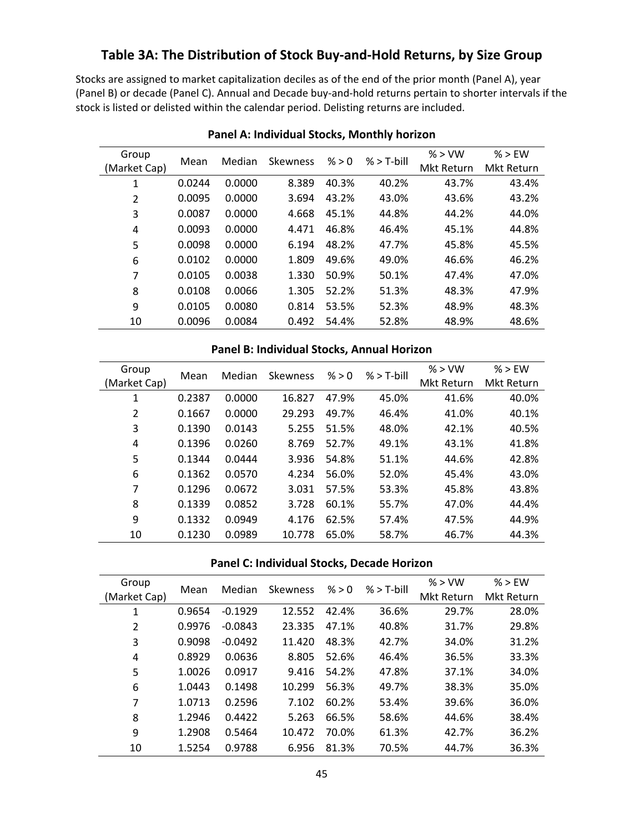# **Table 3A: The Distribution of Stock Buy‐and‐Hold Returns, by Size Group**

Stocks are assigned to market capitalization deciles as of the end of the prior month (Panel A), year (Panel B) or decade (Panel C). Annual and Decade buy‐and‐hold returns pertain to shorter intervals if the stock is listed or delisted within the calendar period. Delisting returns are included.

| Group        | Mean   | Median | Skewness | % > 0 | $%$ > T-bill | % > VW     | $%$ > FW          |
|--------------|--------|--------|----------|-------|--------------|------------|-------------------|
| (Market Cap) |        |        |          |       |              | Mkt Return | <b>Mkt Return</b> |
| 1            | 0.0244 | 0.0000 | 8.389    | 40.3% | 40.2%        | 43.7%      | 43.4%             |
| 2            | 0.0095 | 0.0000 | 3.694    | 43.2% | 43.0%        | 43.6%      | 43.2%             |
| 3            | 0.0087 | 0.0000 | 4.668    | 45.1% | 44.8%        | 44.2%      | 44.0%             |
| 4            | 0.0093 | 0.0000 | 4.471    | 46.8% | 46.4%        | 45.1%      | 44.8%             |
| 5            | 0.0098 | 0.0000 | 6.194    | 48.2% | 47.7%        | 45.8%      | 45.5%             |
| 6            | 0.0102 | 0.0000 | 1.809    | 49.6% | 49.0%        | 46.6%      | 46.2%             |
| 7            | 0.0105 | 0.0038 | 1.330    | 50.9% | 50.1%        | 47.4%      | 47.0%             |
| 8            | 0.0108 | 0.0066 | 1.305    | 52.2% | 51.3%        | 48.3%      | 47.9%             |
| 9            | 0.0105 | 0.0080 | 0.814    | 53.5% | 52.3%        | 48.9%      | 48.3%             |
| 10           | 0.0096 | 0.0084 | 0.492    | 54.4% | 52.8%        | 48.9%      | 48.6%             |

### **Panel A: Individual Stocks, Monthly horizon**

### **Panel B: Individual Stocks, Annual Horizon**

| Group<br>(Market Cap) | Mean   | Median | Skewness | % > 0 | $%$ > T-bill | % > VW<br>Mkt Return | % > EW<br>Mkt Return |
|-----------------------|--------|--------|----------|-------|--------------|----------------------|----------------------|
| 1                     | 0.2387 | 0.0000 | 16.827   | 47.9% | 45.0%        | 41.6%                | 40.0%                |
| $\overline{2}$        | 0.1667 | 0.0000 | 29.293   | 49.7% | 46.4%        | 41.0%                | 40.1%                |
| 3                     | 0.1390 | 0.0143 | 5.255    | 51.5% | 48.0%        | 42.1%                | 40.5%                |
| 4                     | 0.1396 | 0.0260 | 8.769    | 52.7% | 49.1%        | 43.1%                | 41.8%                |
| 5                     | 0.1344 | 0.0444 | 3.936    | 54.8% | 51.1%        | 44.6%                | 42.8%                |
| 6                     | 0.1362 | 0.0570 | 4.234    | 56.0% | 52.0%        | 45.4%                | 43.0%                |
| 7                     | 0.1296 | 0.0672 | 3.031    | 57.5% | 53.3%        | 45.8%                | 43.8%                |
| 8                     | 0.1339 | 0.0852 | 3.728    | 60.1% | 55.7%        | 47.0%                | 44.4%                |
| 9                     | 0.1332 | 0.0949 | 4.176    | 62.5% | 57.4%        | 47.5%                | 44.9%                |
| 10                    | 0.1230 | 0.0989 | 10.778   | 65.0% | 58.7%        | 46.7%                | 44.3%                |

### **Panel C: Individual Stocks, Decade Horizon**

| Group          | Mean   | Median    | Skewness | % > 0 | $%$ > T-bill | % > VW     | $%$ > FW   |
|----------------|--------|-----------|----------|-------|--------------|------------|------------|
| (Market Cap)   |        |           |          |       |              | Mkt Return | Mkt Return |
| 1              | 0.9654 | $-0.1929$ | 12.552   | 42.4% | 36.6%        | 29.7%      | 28.0%      |
| $\overline{2}$ | 0.9976 | $-0.0843$ | 23.335   | 47.1% | 40.8%        | 31.7%      | 29.8%      |
| 3              | 0.9098 | $-0.0492$ | 11.420   | 48.3% | 42.7%        | 34.0%      | 31.2%      |
| $\overline{a}$ | 0.8929 | 0.0636    | 8.805    | 52.6% | 46.4%        | 36.5%      | 33.3%      |
| 5              | 1.0026 | 0.0917    | 9.416    | 54.2% | 47.8%        | 37.1%      | 34.0%      |
| 6              | 1.0443 | 0.1498    | 10.299   | 56.3% | 49.7%        | 38.3%      | 35.0%      |
| 7              | 1.0713 | 0.2596    | 7.102    | 60.2% | 53.4%        | 39.6%      | 36.0%      |
| 8              | 1.2946 | 0.4422    | 5.263    | 66.5% | 58.6%        | 44.6%      | 38.4%      |
| 9              | 1.2908 | 0.5464    | 10.472   | 70.0% | 61.3%        | 42.7%      | 36.2%      |
| 10             | 1.5254 | 0.9788    | 6.956    | 81.3% | 70.5%        | 44.7%      | 36.3%      |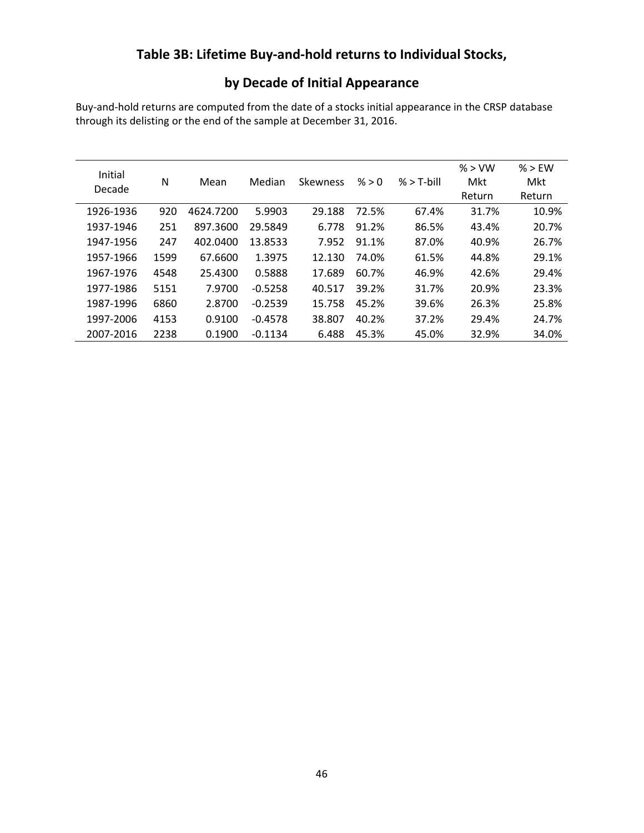# **Table 3B: Lifetime Buy‐and‐hold returns to Individual Stocks,**

# **by Decade of Initial Appearance**

Buy‐and‐hold returns are computed from the date of a stocks initial appearance in the CRSP database through its delisting or the end of the sample at December 31, 2016.

| Initial<br>Decade | N    | Mean      | Median    | <b>Skewness</b> | % > 0 | $%$ > T-bill | % > VW<br>Mkt | % > EW<br>Mkt |
|-------------------|------|-----------|-----------|-----------------|-------|--------------|---------------|---------------|
|                   |      |           |           |                 |       |              | Return        | Return        |
| 1926-1936         | 920  | 4624.7200 | 5.9903    | 29.188          | 72.5% | 67.4%        | 31.7%         | 10.9%         |
| 1937-1946         | 251  | 897.3600  | 29.5849   | 6.778           | 91.2% | 86.5%        | 43.4%         | 20.7%         |
| 1947-1956         | 247  | 402.0400  | 13.8533   | 7.952           | 91.1% | 87.0%        | 40.9%         | 26.7%         |
| 1957-1966         | 1599 | 67.6600   | 1.3975    | 12.130          | 74.0% | 61.5%        | 44.8%         | 29.1%         |
| 1967-1976         | 4548 | 25.4300   | 0.5888    | 17.689          | 60.7% | 46.9%        | 42.6%         | 29.4%         |
| 1977-1986         | 5151 | 7.9700    | $-0.5258$ | 40.517          | 39.2% | 31.7%        | 20.9%         | 23.3%         |
| 1987-1996         | 6860 | 2.8700    | $-0.2539$ | 15.758          | 45.2% | 39.6%        | 26.3%         | 25.8%         |
| 1997-2006         | 4153 | 0.9100    | $-0.4578$ | 38.807          | 40.2% | 37.2%        | 29.4%         | 24.7%         |
| 2007-2016         | 2238 | 0.1900    | $-0.1134$ | 6.488           | 45.3% | 45.0%        | 32.9%         | 34.0%         |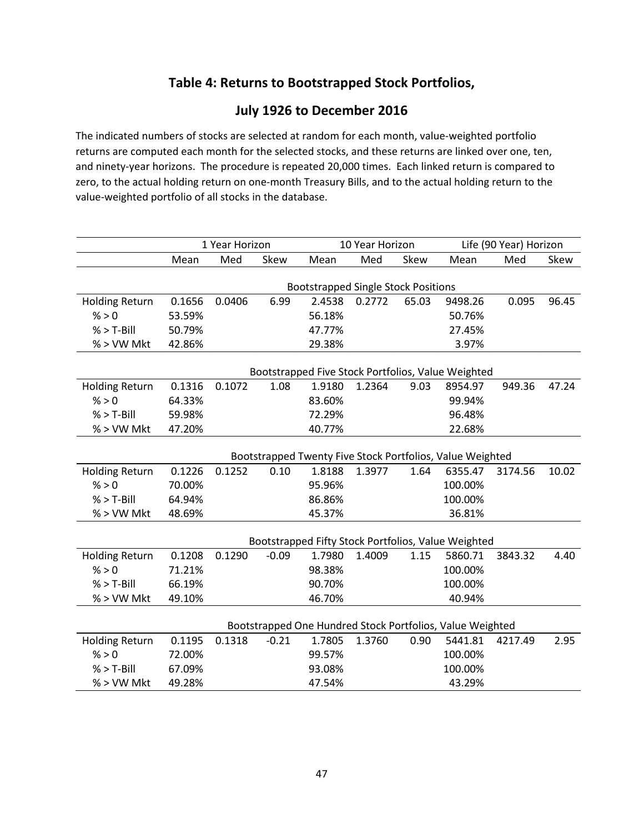# **Table 4: Returns to Bootstrapped Stock Portfolios,**

# **July 1926 to December 2016**

The indicated numbers of stocks are selected at random for each month, value‐weighted portfolio returns are computed each month for the selected stocks, and these returns are linked over one, ten, and ninety-year horizons. The procedure is repeated 20,000 times. Each linked return is compared to zero, to the actual holding return on one‐month Treasury Bills, and to the actual holding return to the value‐weighted portfolio of all stocks in the database.

|                       | 1 Year Horizon                                            |                                            |         | 10 Year Horizon |        |       | Life (90 Year) Horizon                              |         |       |  |
|-----------------------|-----------------------------------------------------------|--------------------------------------------|---------|-----------------|--------|-------|-----------------------------------------------------|---------|-------|--|
|                       | Mean                                                      | Med                                        | Skew    | Mean            | Med    | Skew  | Mean                                                | Med     | Skew  |  |
|                       |                                                           |                                            |         |                 |        |       |                                                     |         |       |  |
|                       |                                                           | <b>Bootstrapped Single Stock Positions</b> |         |                 |        |       |                                                     |         |       |  |
| <b>Holding Return</b> | 0.1656                                                    | 0.0406                                     | 6.99    | 2.4538          | 0.2772 | 65.03 | 9498.26                                             | 0.095   | 96.45 |  |
| % > 0                 | 53.59%                                                    |                                            |         | 56.18%          |        |       | 50.76%                                              |         |       |  |
| $%$ > T-Bill          | 50.79%                                                    |                                            |         | 47.77%          |        |       | 27.45%                                              |         |       |  |
| % > VW Mkt            | 42.86%                                                    |                                            |         | 29.38%          |        |       | 3.97%                                               |         |       |  |
|                       |                                                           |                                            |         |                 |        |       |                                                     |         |       |  |
|                       | Bootstrapped Five Stock Portfolios, Value Weighted        |                                            |         |                 |        |       |                                                     |         |       |  |
| <b>Holding Return</b> | 0.1316                                                    | 0.1072                                     | 1.08    | 1.9180          | 1.2364 | 9.03  | 8954.97                                             | 949.36  | 47.24 |  |
| % > 0                 | 64.33%                                                    |                                            |         | 83.60%          |        |       | 99.94%                                              |         |       |  |
| $%$ > T-Bill          | 59.98%                                                    |                                            |         | 72.29%          |        |       | 96.48%                                              |         |       |  |
| % > VW Mkt            | 47.20%                                                    |                                            |         | 40.77%          |        |       | 22.68%                                              |         |       |  |
|                       |                                                           |                                            |         |                 |        |       |                                                     |         |       |  |
|                       | Bootstrapped Twenty Five Stock Portfolios, Value Weighted |                                            |         |                 |        |       |                                                     |         |       |  |
| <b>Holding Return</b> | 0.1226                                                    | 0.1252                                     | 0.10    | 1.8188          | 1.3977 | 1.64  | 6355.47                                             | 3174.56 | 10.02 |  |
| % > 0                 | 70.00%                                                    |                                            |         | 95.96%          |        |       | 100.00%                                             |         |       |  |
| $%$ > T-Bill          | 64.94%                                                    |                                            |         | 86.86%          |        |       | 100.00%                                             |         |       |  |
| % > VW Mkt            | 48.69%                                                    |                                            |         | 45.37%          |        |       | 36.81%                                              |         |       |  |
|                       |                                                           |                                            |         |                 |        |       |                                                     |         |       |  |
|                       |                                                           |                                            |         |                 |        |       | Bootstrapped Fifty Stock Portfolios, Value Weighted |         |       |  |
| <b>Holding Return</b> | 0.1208                                                    | 0.1290                                     | $-0.09$ | 1.7980          | 1.4009 | 1.15  | 5860.71                                             | 3843.32 | 4.40  |  |
| % > 0                 | 71.21%                                                    |                                            |         | 98.38%          |        |       | 100.00%                                             |         |       |  |
| $%$ > T-Bill          | 66.19%                                                    |                                            |         | 90.70%          |        |       | 100.00%                                             |         |       |  |
| % > VW Mkt            | 49.10%                                                    |                                            |         | 46.70%          |        |       | 40.94%                                              |         |       |  |
|                       |                                                           |                                            |         |                 |        |       |                                                     |         |       |  |
|                       | Bootstrapped One Hundred Stock Portfolios, Value Weighted |                                            |         |                 |        |       |                                                     |         |       |  |
| <b>Holding Return</b> | 0.1195                                                    | 0.1318                                     | $-0.21$ | 1.7805          | 1.3760 | 0.90  | 5441.81                                             | 4217.49 | 2.95  |  |
| % > 0                 | 72.00%                                                    |                                            |         | 99.57%          |        |       | 100.00%                                             |         |       |  |
| $%$ > T-Bill          | 67.09%                                                    |                                            |         | 93.08%          |        |       | 100.00%                                             |         |       |  |
| % > VW Mkt            | 49.28%                                                    |                                            |         | 47.54%          |        |       | 43.29%                                              |         |       |  |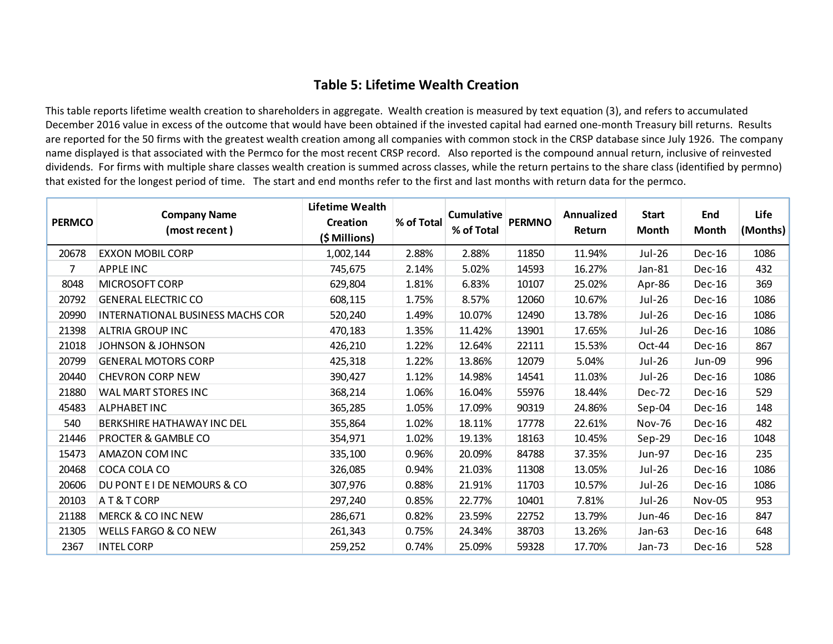# **Table 5: Lifetime Wealth Creation**

This table reports lifetime wealth creation to shareholders in aggregate. Wealth creation is measured by text equation (3), and refers to accumulated December 2016 value in excess of the outcome that would have been obtained if the invested capital had earned one‐month Treasury bill returns. Results are reported for the 50 firms with the greatest wealth creation among all companies with common stock in the CRSP database since July 1926. The company name displayed is that associated with the Permco for the most recent CRSP record. Also reported is the compound annual return, inclusive of reinvested dividends. For firms with multiple share classes wealth creation is summed across classes, while the return pertains to the share class (identified by permno) that existed for the longest period of time. The start and end months refer to the first and last months with return data for the permco.

|               |                                         | Lifetime Wealth | % of Total | <b>Cumulative</b><br>% of Total | <b>PERMNO</b> | Annualized<br>Return | <b>Start</b><br><b>Month</b> | End<br>Month  | Life     |
|---------------|-----------------------------------------|-----------------|------------|---------------------------------|---------------|----------------------|------------------------------|---------------|----------|
| <b>PERMCO</b> | <b>Company Name</b>                     | <b>Creation</b> |            |                                 |               |                      |                              |               |          |
|               | (most recent)                           | (\$ Millions)   |            |                                 |               |                      |                              |               | (Months) |
| 20678         | <b>EXXON MOBIL CORP</b>                 | 1,002,144       | 2.88%      | 2.88%                           | 11850         | 11.94%               | Jul-26                       | Dec-16        | 1086     |
| 7             | <b>APPLE INC</b>                        | 745,675         | 2.14%      | 5.02%                           | 14593         | 16.27%               | Jan-81                       | <b>Dec-16</b> | 432      |
| 8048          | <b>MICROSOFT CORP</b>                   | 629,804         | 1.81%      | 6.83%                           | 10107         | 25.02%               | Apr-86                       | Dec-16        | 369      |
| 20792         | <b>GENERAL ELECTRIC CO</b>              | 608,115         | 1.75%      | 8.57%                           | 12060         | 10.67%               | Jul-26                       | $Dec-16$      | 1086     |
| 20990         | <b>INTERNATIONAL BUSINESS MACHS COR</b> | 520,240         | 1.49%      | 10.07%                          | 12490         | 13.78%               | Jul-26                       | $Dec-16$      | 1086     |
| 21398         | <b>ALTRIA GROUP INC</b>                 | 470,183         | 1.35%      | 11.42%                          | 13901         | 17.65%               | Jul-26                       | $Dec-16$      | 1086     |
| 21018         | <b>JOHNSON &amp; JOHNSON</b>            | 426,210         | 1.22%      | 12.64%                          | 22111         | 15.53%               | Oct-44                       | Dec-16        | 867      |
| 20799         | <b>GENERAL MOTORS CORP</b>              | 425,318         | 1.22%      | 13.86%                          | 12079         | 5.04%                | Jul-26                       | Jun-09        | 996      |
| 20440         | <b>CHEVRON CORP NEW</b>                 | 390,427         | 1.12%      | 14.98%                          | 14541         | 11.03%               | Jul-26                       | $Dec-16$      | 1086     |
| 21880         | WAL MART STORES INC                     | 368,214         | 1.06%      | 16.04%                          | 55976         | 18.44%               | Dec-72                       | $Dec-16$      | 529      |
| 45483         | <b>ALPHABET INC</b>                     | 365,285         | 1.05%      | 17.09%                          | 90319         | 24.86%               | Sep-04                       | <b>Dec-16</b> | 148      |
| 540           | BERKSHIRE HATHAWAY INC DEL              | 355,864         | 1.02%      | 18.11%                          | 17778         | 22.61%               | <b>Nov-76</b>                | $Dec-16$      | 482      |
| 21446         | PROCTER & GAMBLE CO                     | 354,971         | 1.02%      | 19.13%                          | 18163         | 10.45%               | $Sep-29$                     | Dec-16        | 1048     |
| 15473         | <b>AMAZON COM INC</b>                   | 335,100         | 0.96%      | 20.09%                          | 84788         | 37.35%               | Jun-97                       | $Dec-16$      | 235      |
| 20468         | COCA COLA CO                            | 326,085         | 0.94%      | 21.03%                          | 11308         | 13.05%               | Jul-26                       | $Dec-16$      | 1086     |
| 20606         | DU PONT E I DE NEMOURS & CO             | 307,976         | 0.88%      | 21.91%                          | 11703         | 10.57%               | Jul-26                       | $Dec-16$      | 1086     |
| 20103         | AT&TCORP                                | 297,240         | 0.85%      | 22.77%                          | 10401         | 7.81%                | Jul-26                       | Nov-05        | 953      |
| 21188         | <b>MERCK &amp; CO INC NEW</b>           | 286,671         | 0.82%      | 23.59%                          | 22752         | 13.79%               | Jun-46                       | $Dec-16$      | 847      |
| 21305         | <b>WELLS FARGO &amp; CO NEW</b>         | 261,343         | 0.75%      | 24.34%                          | 38703         | 13.26%               | Jan-63                       | Dec-16        | 648      |
| 2367          | <b>INTEL CORP</b>                       | 259,252         | 0.74%      | 25.09%                          | 59328         | 17.70%               | Jan-73                       | $Dec-16$      | 528      |